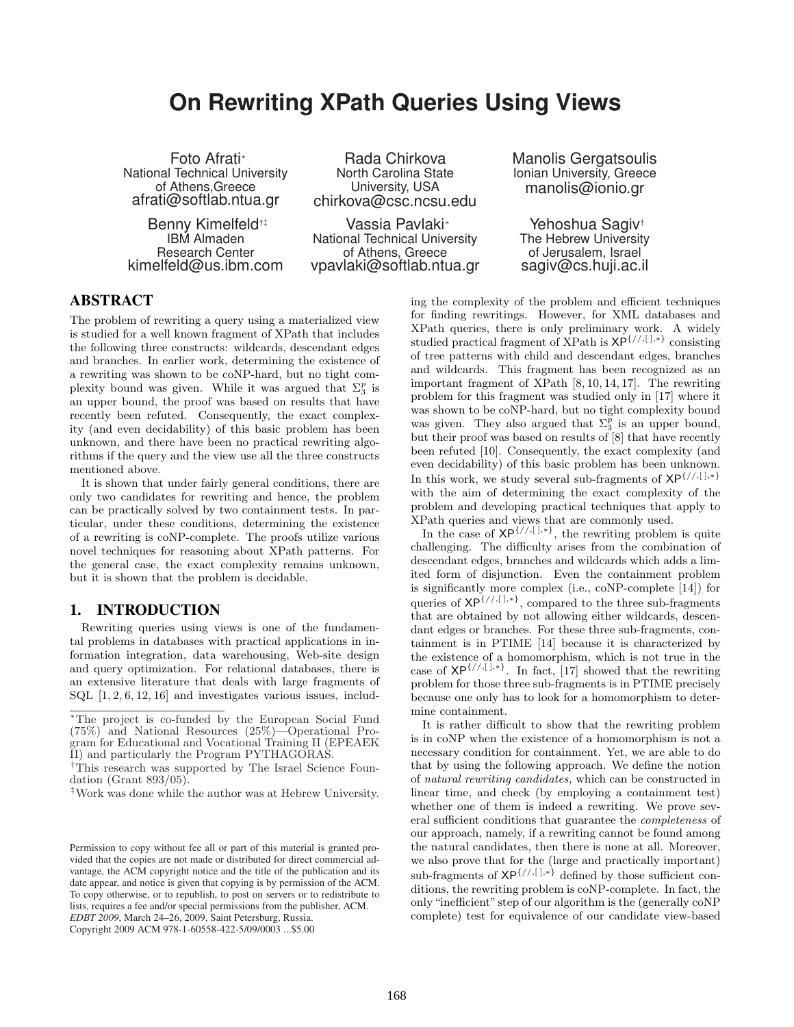# **On Rewriting XPath Queries Using Views**

Foto Afrati<sup>∗</sup> National Technical University of Athens,Greece afrati@softlab.ntua.gr

Benny Kimelfeld<sup>†‡</sup> IBM Almaden Research Center kimelfeld@us.ibm.com

Rada Chirkova North Carolina State University, USA chirkova@csc.ncsu.edu

Vassia Pavlaki<sup>∗</sup> National Technical University of Athens, Greece vpavlaki@softlab.ntua.gr Manolis Gergatsoulis Ionian University, Greece manolis@ionio.gr

Yehoshua Sagiv† The Hebrew University of Jerusalem, Israel sagiv@cs.huji.ac.il

# ABSTRACT

The problem of rewriting a query using a materialized view is studied for a well known fragment of XPath that includes the following three constructs: wildcards, descendant edges and branches. In earlier work, determining the existence of a rewriting was shown to be coNP-hard, but no tight complexity bound was given. While it was argued that  $\Sigma_3^p$  is an upper bound, the proof was based on results that have recently been refuted. Consequently, the exact complexity (and even decidability) of this basic problem has been unknown, and there have been no practical rewriting algorithms if the query and the view use all the three constructs mentioned above.

It is shown that under fairly general conditions, there are only two candidates for rewriting and hence, the problem can be practically solved by two containment tests. In particular, under these conditions, determining the existence of a rewriting is coNP-complete. The proofs utilize various novel techniques for reasoning about XPath patterns. For the general case, the exact complexity remains unknown, but it is shown that the problem is decidable.

# 1. INTRODUCTION

Rewriting queries using views is one of the fundamental problems in databases with practical applications in information integration, data warehousing, Web-site design and query optimization. For relational databases, there is an extensive literature that deals with large fragments of SQL [1, 2, 6, 12, 16] and investigates various issues, including the complexity of the problem and efficient techniques for finding rewritings. However, for XML databases and XPath queries, there is only preliminary work. A widely studied practical fragment of XPath is  $\mathsf{XP}^{f//,[],*}$  consisting of tree patterns with child and descendant edges, branches and wildcards. This fragment has been recognized as an important fragment of XPath [8, 10, 14, 17]. The rewriting problem for this fragment was studied only in [17] where it was shown to be coNP-hard, but no tight complexity bound was given. They also argued that  $\Sigma_3^{\overline{p}}$  is an upper bound, but their proof was based on results of [8] that have recently been refuted [10]. Consequently, the exact complexity (and even decidability) of this basic problem has been unknown. In this work, we study several sub-fragments of  $XP^{\{/,[\ ],\ast\}}$ with the aim of determining the exact complexity of the problem and developing practical techniques that apply to XPath queries and views that are commonly used.

In the case of  $XP^{\{/}/,[.],*}\}$ , the rewriting problem is quite challenging. The difficulty arises from the combination of descendant edges, branches and wildcards which adds a limited form of disjunction. Even the containment problem is significantly more complex (i.e., coNP-complete [14]) for queries of  $XP^{\{//, [],*\}}$ , compared to the three sub-fragments that are obtained by not allowing either wildcards, descendant edges or branches. For these three sub-fragments, containment is in PTIME [14] because it is characterized by the existence of a homomorphism, which is not true in the case of  $XP^{\{/}/,[],*\}$ . In fact, [17] showed that the rewriting problem for those three sub-fragments is in PTIME precisely because one only has to look for a homomorphism to determine containment.

It is rather difficult to show that the rewriting problem is in coNP when the existence of a homomorphism is not a necessary condition for containment. Yet, we are able to do that by using the following approach. We define the notion of natural rewriting candidates, which can be constructed in linear time, and check (by employing a containment test) whether one of them is indeed a rewriting. We prove several sufficient conditions that guarantee the completeness of our approach, namely, if a rewriting cannot be found among the natural candidates, then there is none at all. Moreover, we also prove that for the (large and practically important) sub-fragments of  $XP^{\{//,[\ ],\ast\}}$  defined by those sufficient conditions, the rewriting problem is coNP-complete. In fact, the only "inefficient" step of our algorithm is the (generally coNP complete) test for equivalence of our candidate view-based

<sup>∗</sup>The project is co-funded by the European Social Fund (75%) and National Resources (25%)—Operational Program for Educational and Vocational Training II (EPEAEK II) and particularly the Program PYTHAGORAS.

<sup>†</sup>This research was supported by The Israel Science Foundation (Grant 893/05).

<sup>‡</sup>Work was done while the author was at Hebrew University.

Permission to copy without fee all or part of this material is granted provided that the copies are not made or distributed for direct commercial advantage, the ACM copyright notice and the title of the publication and its date appear, and notice is given that copying is by permission of the ACM. To copy otherwise, or to republish, to post on servers or to redistribute to lists, requires a fee and/or special permissions from the publisher, ACM. *EDBT 2009*, March 24–26, 2009, Saint Petersburg, Russia.

Copyright 2009 ACM 978-1-60558-422-5/09/0003 ...\$5.00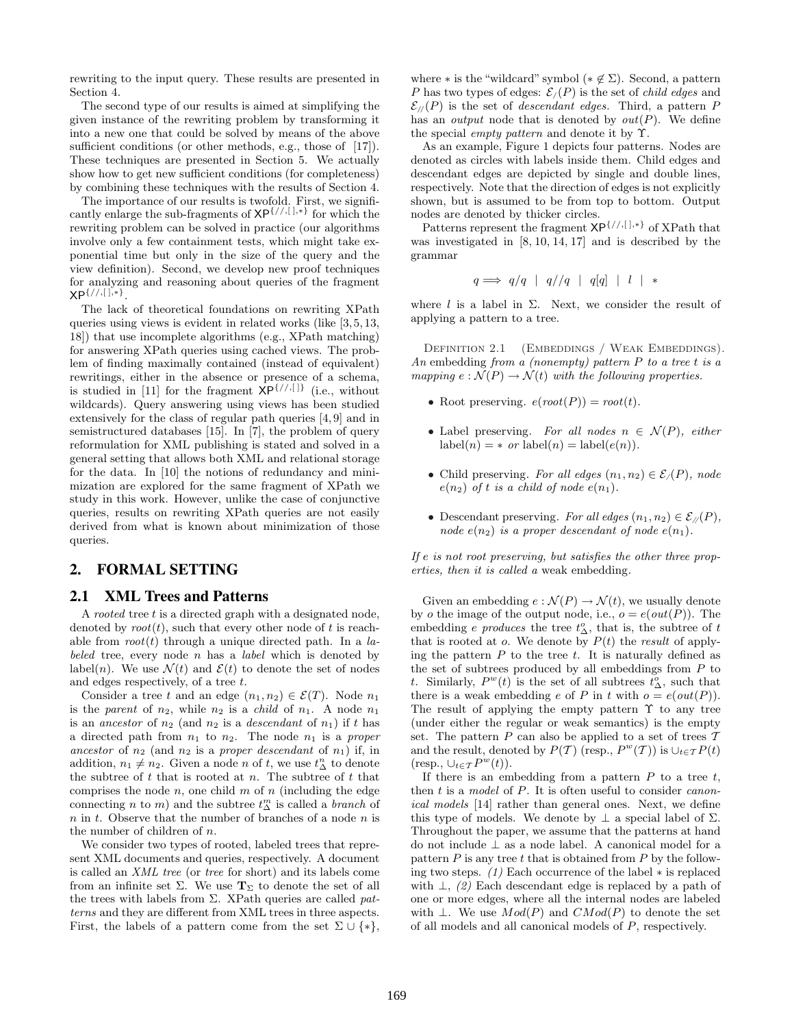rewriting to the input query. These results are presented in Section 4.

The second type of our results is aimed at simplifying the given instance of the rewriting problem by transforming it into a new one that could be solved by means of the above sufficient conditions (or other methods, e.g., those of [17]). These techniques are presented in Section 5. We actually show how to get new sufficient conditions (for completeness) by combining these techniques with the results of Section 4.

The importance of our results is twofold. First, we significantly enlarge the sub-fragments of XP{//,[ ],∗} for which the rewriting problem can be solved in practice (our algorithms involve only a few containment tests, which might take exponential time but only in the size of the query and the view definition). Second, we develop new proof techniques for analyzing and reasoning about queries of the fragment XP{//,[ ],∗} .

The lack of theoretical foundations on rewriting XPath queries using views is evident in related works (like [3, 5, 13, 18]) that use incomplete algorithms (e.g., XPath matching) for answering XPath queries using cached views. The problem of finding maximally contained (instead of equivalent) rewritings, either in the absence or presence of a schema, is studied in [11] for the fragment  $\mathsf{XP}^{\{/}/,[]}\}$  (i.e., without wildcards). Query answering using views has been studied extensively for the class of regular path queries [4, 9] and in semistructured databases [15]. In [7], the problem of query reformulation for XML publishing is stated and solved in a general setting that allows both XML and relational storage for the data. In [10] the notions of redundancy and minimization are explored for the same fragment of XPath we study in this work. However, unlike the case of conjunctive queries, results on rewriting XPath queries are not easily derived from what is known about minimization of those queries.

# 2. FORMAL SETTING

#### 2.1 XML Trees and Patterns

A *rooted* tree  $t$  is a directed graph with a designated node, denoted by  $root(t)$ , such that every other node of t is reachable from  $root(t)$  through a unique directed path. In a labeled tree, every node  $n$  has a *label* which is denoted by label(n). We use  $\mathcal{N}(t)$  and  $\mathcal{E}(t)$  to denote the set of nodes and edges respectively, of a tree t.

Consider a tree t and an edge  $(n_1, n_2) \in \mathcal{E}(T)$ . Node  $n_1$ is the parent of  $n_2$ , while  $n_2$  is a *child* of  $n_1$ . A node  $n_1$ is an ancestor of  $n_2$  (and  $n_2$  is a descendant of  $n_1$ ) if t has a directed path from  $n_1$  to  $n_2$ . The node  $n_1$  is a proper ancestor of  $n_2$  (and  $n_2$  is a proper descendant of  $n_1$ ) if, in addition,  $n_1 \neq n_2$ . Given a node n of t, we use  $t_{\Delta}^n$  to denote the subtree of  $t$  that is rooted at  $n$ . The subtree of  $t$  that comprises the node  $n$ , one child  $m$  of  $n$  (including the edge connecting n to m) and the subtree  $t_{\Delta}^{m}$  is called a *branch* of  $n$  in  $t$ . Observe that the number of branches of a node  $n$  is the number of children of n.

We consider two types of rooted, labeled trees that represent XML documents and queries, respectively. A document is called an XML tree (or tree for short) and its labels come from an infinite set  $\Sigma$ . We use  $T_{\Sigma}$  to denote the set of all the trees with labels from  $\Sigma$ . XPath queries are called patterns and they are different from XML trees in three aspects. First, the labels of a pattern come from the set  $\Sigma \cup \{*\},$  where  $*$  is the "wildcard" symbol  $(* \notin \Sigma)$ . Second, a pattern P has two types of edges:  $\mathcal{E}_1(P)$  is the set of *child edges* and  $\mathcal{E}_{\ell}(P)$  is the set of *descendant edges*. Third, a pattern P has an *output* node that is denoted by  $out(P)$ . We define the special *empty pattern* and denote it by  $\Upsilon$ .

As an example, Figure 1 depicts four patterns. Nodes are denoted as circles with labels inside them. Child edges and descendant edges are depicted by single and double lines, respectively. Note that the direction of edges is not explicitly shown, but is assumed to be from top to bottom. Output nodes are denoted by thicker circles.

Patterns represent the fragment  $XP^{f//,[],*}$  of XPath that was investigated in [8, 10, 14, 17] and is described by the grammar

$$
q \Longrightarrow q/q \mid q // q \mid q[q] \mid l \mid *
$$

where l is a label in  $\Sigma$ . Next, we consider the result of applying a pattern to a tree.

DEFINITION 2.1 (EMBEDDINGS / WEAK EMBEDDINGS). An embedding from a (nonempty) pattern  $P$  to a tree t is a mapping  $e: \mathcal{N}(P) \to \mathcal{N}(t)$  with the following properties.

- Root preserving.  $e(root(P)) = root(t)$ .
- Label preserving. For all nodes  $n \in \mathcal{N}(P)$ , either  $label(n) = * or label(n) = label(e(n)).$
- Child preserving. For all edges  $(n_1, n_2) \in \mathcal{E}_f(P)$ , node  $e(n_2)$  of t is a child of node  $e(n_1)$ .
- Descendant preserving. For all edges  $(n_1, n_2) \in \mathcal{E}_{\mathcal{N}}(P)$ , node  $e(n_2)$  is a proper descendant of node  $e(n_1)$ .

If e is not root preserving, but satisfies the other three properties, then it is called a weak embedding.

Given an embedding  $e : \mathcal{N}(P) \to \mathcal{N}(t)$ , we usually denote by *o* the image of the output node, i.e.,  $o = e(out(P))$ . The embedding *e* produces the tree  $t^o_\Delta$ , that is, the subtree of t that is rooted at  $o$ . We denote by  $P(t)$  the *result* of applying the pattern  $P$  to the tree  $t$ . It is naturally defined as the set of subtrees produced by all embeddings from  $P$  to t. Similarly,  $P^{w}(t)$  is the set of all subtrees  $t^{\circ}_{\Delta}$ , such that there is a weak embedding e of P in t with  $o = e(out(P))$ . The result of applying the empty pattern  $\Upsilon$  to any tree (under either the regular or weak semantics) is the empty set. The pattern  $P$  can also be applied to a set of trees  $T$ and the result, denoted by  $P(T)$  (resp.,  $P^{w}(T)$ ) is  $\cup_{t \in T} P(t)$  $(\text{resp., }\cup_{t\in\mathcal{T}}P^w(t)).$ 

If there is an embedding from a pattern  $P$  to a tree  $t$ , then t is a model of P. It is often useful to consider canonical models [14] rather than general ones. Next, we define this type of models. We denote by  $\perp$  a special label of  $\Sigma$ . Throughout the paper, we assume that the patterns at hand do not include ⊥ as a node label. A canonical model for a pattern  $P$  is any tree t that is obtained from  $P$  by the following two steps. (1) Each occurrence of the label ∗ is replaced with  $\perp$ , (2) Each descendant edge is replaced by a path of one or more edges, where all the internal nodes are labeled with  $\bot$ . We use  $Mod(P)$  and  $CMod(P)$  to denote the set of all models and all canonical models of P, respectively.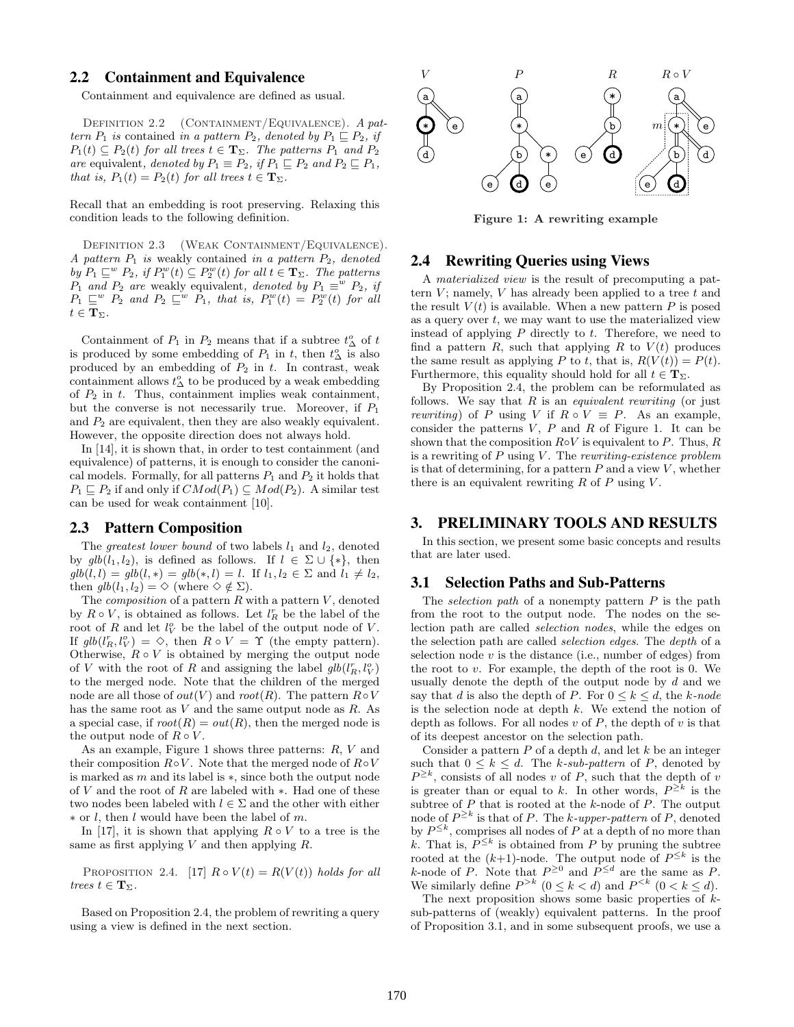# 2.2 Containment and Equivalence

Containment and equivalence are defined as usual.

DEFINITION 2.2 (CONTAINMENT/EQUIVALENCE). A pattern  $P_1$  is contained in a pattern  $P_2$ , denoted by  $P_1 \sqsubseteq P_2$ , if  $P_1(t) \subseteq P_2(t)$  for all trees  $t \in \mathbf{T}_{\Sigma}$ . The patterns  $P_1$  and  $P_2$ are equivalent, denoted by  $P_1 \equiv P_2$ , if  $P_1 \sqsubseteq P_2$  and  $P_2 \sqsubseteq P_1$ , that is,  $P_1(t) = P_2(t)$  for all trees  $t \in \mathbf{T}_{\Sigma}$ .

Recall that an embedding is root preserving. Relaxing this condition leads to the following definition.

DEFINITION 2.3 (WEAK CONTAINMENT/EQUIVALENCE). A pattern  $P_1$  is weakly contained in a pattern  $P_2$ , denoted by  $P_1 \sqsubseteq^w P_2$ , if  $P_1^w(t) \subseteq P_2^w(t)$  for all  $t \in \mathbf{T}_{\Sigma}$ . The patterns  $P_1$  and  $P_2$  are weakly equivalent, denoted by  $P_1 \equiv^w P_2$ , if  $P_1 \sqsubseteq^w P_2$  and  $P_2 \sqsubseteq^w P_1$ , that is,  $P_1^w(t) = P_2^w(t)$  for all  $t \in \mathbf{T}_{\Sigma}.$ 

Containment of  $P_1$  in  $P_2$  means that if a subtree  $t^o_\Delta$  of  $t$ is produced by some embedding of  $P_1$  in t, then  $t^o_\Delta$  is also produced by an embedding of  $P_2$  in t. In contrast, weak containment allows  $t^o_\Delta$  to be produced by a weak embedding of  $P_2$  in t. Thus, containment implies weak containment, but the converse is not necessarily true. Moreover, if  $P_1$ and  $P_2$  are equivalent, then they are also weakly equivalent. However, the opposite direction does not always hold.

In [14], it is shown that, in order to test containment (and equivalence) of patterns, it is enough to consider the canonical models. Formally, for all patterns  $P_1$  and  $P_2$  it holds that  $P_1 \nightharpoonup P_2$  if and only if  $CMod(P_1) \nightharpoonup Mod(P_2)$ . A similar test can be used for weak containment [10].

## 2.3 Pattern Composition

The greatest lower bound of two labels  $l_1$  and  $l_2$ , denoted by  $glb(l_1, l_2)$ , is defined as follows. If  $l \in \Sigma \cup \{*\}$ , then  $glb(l, l) = glb(l, *) = glb(*, l) = l.$  If  $l_1, l_2 \in \Sigma$  and  $l_1 \neq l_2$ , then  $glb(l_1, l_2) = \Diamond$  (where  $\Diamond \notin \Sigma$ ).

The *composition* of a pattern  $R$  with a pattern  $V$ , denoted by  $R \circ V$ , is obtained as follows. Let  $l_R^r$  be the label of the root of R and let  $l_V^o$  be the label of the output node of V. If  $glb(l_R^r, l_V^o) = \diamond$ , then  $R \circ V = \Upsilon$  (the empty pattern). Otherwise,  $R \circ V$  is obtained by merging the output node of V with the root of R and assigning the label  $glb(l_R^r, l_V^o)$ to the merged node. Note that the children of the merged node are all those of  $out(V)$  and  $root(R)$ . The pattern  $R \circ V$ has the same root as V and the same output node as R. As a special case, if  $root(R) = out(R)$ , then the merged node is the output node of  $R \circ V$ .

As an example, Figure 1 shows three patterns: R, V and their composition  $R \circ V$ . Note that the merged node of  $R \circ V$ is marked as m and its label is ∗, since both the output node of V and the root of R are labeled with ∗. Had one of these two nodes been labeled with  $l \in \Sigma$  and the other with either ∗ or l, then l would have been the label of m.

In [17], it is shown that applying  $R \circ V$  to a tree is the same as first applying  $V$  and then applying  $R$ .

PROPOSITION 2.4. [17]  $R \circ V(t) = R(V(t))$  holds for all trees  $t \in \mathbf{T}_{\Sigma}$ .

Based on Proposition 2.4, the problem of rewriting a query using a view is defined in the next section.



Figure 1: A rewriting example

# 2.4 Rewriting Queries using Views

A materialized view is the result of precomputing a pattern  $V$ ; namely,  $V$  has already been applied to a tree  $t$  and the result  $V(t)$  is available. When a new pattern P is posed as a query over  $t$ , we may want to use the materialized view instead of applying  $P$  directly to  $t$ . Therefore, we need to find a pattern  $R$ , such that applying  $R$  to  $V(t)$  produces the same result as applying P to t, that is,  $R(V(t)) = P(t)$ . Furthermore, this equality should hold for all  $t \in \mathbf{T}_{\Sigma}$ .

By Proposition 2.4, the problem can be reformulated as follows. We say that  $R$  is an *equivalent rewriting* (or just *rewriting*) of P using V if  $R \circ V \equiv P$ . As an example, consider the patterns  $V, P$  and  $R$  of Figure 1. It can be shown that the composition  $R \circ V$  is equivalent to P. Thus, R is a rewriting of  $P$  using  $V$ . The *rewriting-existence problem* is that of determining, for a pattern  $P$  and a view  $V$ , whether there is an equivalent rewriting  $R$  of  $P$  using  $V$ .

# 3. PRELIMINARY TOOLS AND RESULTS

In this section, we present some basic concepts and results that are later used.

#### 3.1 Selection Paths and Sub-Patterns

The selection path of a nonempty pattern  $P$  is the path from the root to the output node. The nodes on the selection path are called selection nodes, while the edges on the selection path are called selection edges. The depth of a selection node  $v$  is the distance (i.e., number of edges) from the root to  $v$ . For example, the depth of the root is 0. We usually denote the depth of the output node by d and we say that d is also the depth of P. For  $0 \le k \le d$ , the k-node is the selection node at depth  $k$ . We extend the notion of depth as follows. For all nodes  $v$  of  $P$ , the depth of  $v$  is that of its deepest ancestor on the selection path.

Consider a pattern  $P$  of a depth  $d$ , and let  $k$  be an integer such that  $0 \leq k \leq d$ . The k-sub-pattern of P, denoted by  $P^{\geq k}$ , consists of all nodes v of P, such that the depth of v is greater than or equal to k. In other words,  $P^{\geq k}$  is the subtree of  $P$  that is rooted at the  $k$ -node of  $P$ . The output node of  $P^{\geq k}$  is that of P. The k-upper-pattern of P, denoted by  $P^{\leq k}$ , comprises all nodes of P at a depth of no more than k. That is,  $P^{\leq k}$  is obtained from P by pruning the subtree rooted at the  $(k+1)$ -node. The output node of  $P^{\leq k}$  is the k-node of P. Note that  $P^{\geq 0}$  and  $P^{\leq d}$  are the same as P. We similarly define  $P^{>k}$   $(0 \le k < d)$  and  $P^{  $(0 < k \le d)$ .$ 

The next proposition shows some basic properties of  $k$ sub-patterns of (weakly) equivalent patterns. In the proof of Proposition 3.1, and in some subsequent proofs, we use a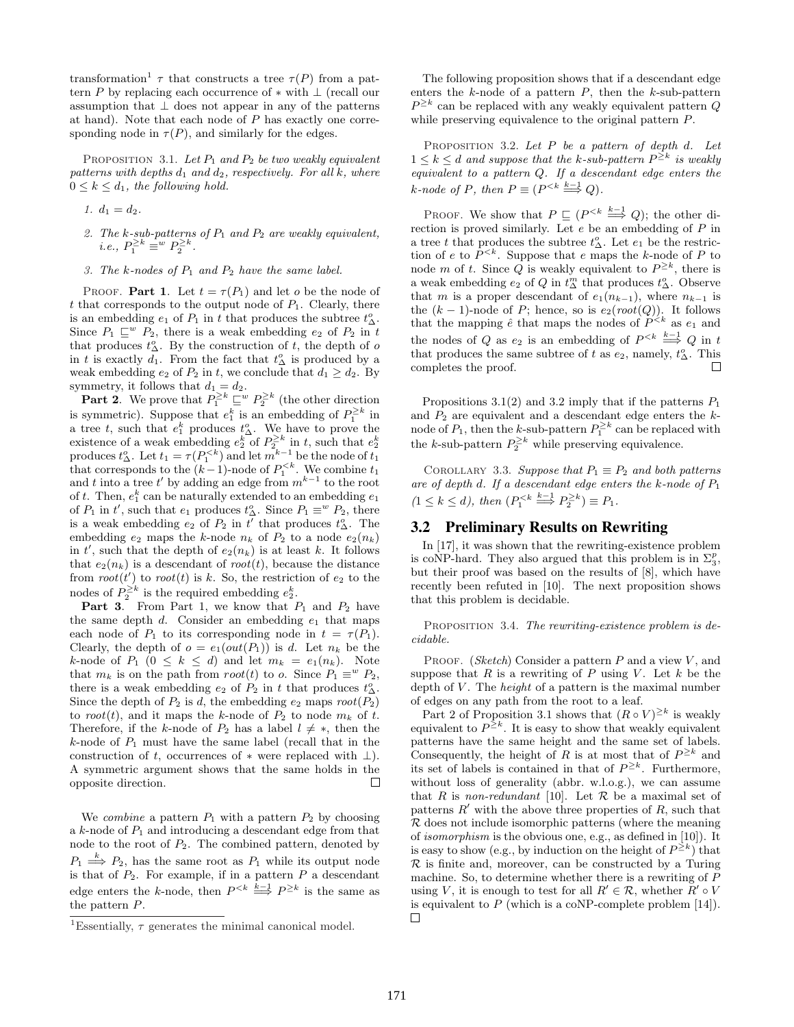transformation<sup>1</sup>  $\tau$  that constructs a tree  $\tau(P)$  from a pattern P by replacing each occurrence of  $*$  with  $\perp$  (recall our assumption that  $\perp$  does not appear in any of the patterns at hand). Note that each node of  $P$  has exactly one corresponding node in  $\tau(P)$ , and similarly for the edges.

PROPOSITION 3.1. Let  $P_1$  and  $P_2$  be two weakly equivalent patterns with depths  $d_1$  and  $d_2$ , respectively. For all k, where  $0 \leq k \leq d_1$ , the following hold.

- 1.  $d_1 = d_2$ .
- 2. The k-sub-patterns of  $P_1$  and  $P_2$  are weakly equivalent, i.e.,  $P_1^{\geq k} \equiv w P_2^{\geq k}$ .
- 3. The k-nodes of  $P_1$  and  $P_2$  have the same label.

PROOF. **Part 1.** Let  $t = \tau(P_1)$  and let o be the node of t that corresponds to the output node of  $P_1$ . Clearly, there is an embedding  $e_1$  of  $P_1$  in t that produces the subtree  $t^o_\Delta$ . Since  $P_1 \sqsubseteq^w P_2$ , there is a weak embedding  $e_2$  of  $P_2$  in t that produces  $t_{\Delta}^o$ . By the construction of t, the depth of o in t is exactly  $d_1$ . From the fact that  $t^o$  is produced by a weak embedding  $e_2$  of  $P_2$  in t, we conclude that  $d_1 \geq d_2$ . By symmetry, it follows that  $d_1 = d_2$ .

**Part 2.** We prove that  $P_1^{\geq k} \sqsubseteq^w P_2^{\geq k}$  (the other direction is symmetric). Suppose that  $e_1^k$  is an embedding of  $P_1^{\geq k}$  in is symmetric). Suppose that  $e_1$  is an embedding of  $r_1$  in<br>a tree t, such that  $e_1^k$  produces  $t_{\Delta}^o$ . We have to prove the existence of a weak embedding  $e_2^k$  of  $P_2^{\geq k}$  in t, such that  $e_2^k$  produces  $t_{\Delta}^o$ . Let  $t_1 = \tau(P_1^{< k})$  and let  $m^{k-1}$  be the node of  $t_1$ that corresponds to the  $(k-1)$ -node of  $P_1^{. We combine  $t_1$$ that corresponds to the  $(\kappa - 1)$ -node of  $F_1$ . We combine  $t_1$ <br>and t into a tree t' by adding an edge from  $m^{k-1}$  to the root of t. Then,  $e_1^k$  can be naturally extended to an embedding  $e_1$ of  $P_1$  in t', such that  $e_1$  produces  $t_{\Delta}^o$ . Since  $P_1 \equiv^w P_2$ , there is a weak embedding  $e_2$  of  $P_2$  in  $t^{\prime}$  that produces  $t^o_{\Delta}$ . The embedding  $e_2$  maps the k-node  $n_k$  of  $P_2$  to a node  $e_2(n_k)$ in t', such that the depth of  $e_2(n_k)$  is at least k. It follows that  $e_2(n_k)$  is a descendant of root(t), because the distance from  $root(t')$  to  $root(t)$  is k. So, the restriction of  $e_2$  to the nodes of  $P_2^{\geq k}$  is the required embedding  $e_2^k$ .

**Part 3.** From Part 1, we know that  $P_1$  and  $P_2$  have the same depth  $d$ . Consider an embedding  $e_1$  that maps each node of  $P_1$  to its corresponding node in  $t = \tau(P_1)$ . Clearly, the depth of  $o = e_1(out(P_1))$  is d. Let  $n_k$  be the k-node of  $P_1$   $(0 \le k \le d)$  and let  $m_k = e_1(n_k)$ . Note that  $m_k$  is on the path from  $root(t)$  to o. Since  $P_1 \equiv^w P_2$ , there is a weak embedding  $e_2$  of  $P_2$  in t that produces  $t^o_\Delta$ . Since the depth of  $P_2$  is d, the embedding  $e_2$  maps  $root(P_2)$ to root(t), and it maps the k-node of  $P_2$  to node  $m_k$  of t. Therefore, if the k-node of  $P_2$  has a label  $l \neq *$ , then the  $k$ -node of  $P_1$  must have the same label (recall that in the construction of t, occurrences of  $*$  were replaced with  $\perp$ ). A symmetric argument shows that the same holds in the opposite direction.  $\Box$ 

We combine a pattern  $P_1$  with a pattern  $P_2$  by choosing a  $k$ -node of  $P_1$  and introducing a descendant edge from that node to the root of  $P_2$ . The combined pattern, denoted by  $P_1 \stackrel{k}{\Longrightarrow} P_2$ , has the same root as  $P_1$  while its output node is that of  $P_2$ . For example, if in a pattern  $P$  a descendant edge enters the k-node, then  $P^{\leq k} \stackrel{k-1}{\Longrightarrow} P^{\geq k}$  is the same as the pattern P.

The following proposition shows that if a descendant edge enters the  $k$ -node of a pattern  $P$ , then the  $k$ -sub-pattern  $P^{\geq k}$  can be replaced with any weakly equivalent pattern Q while preserving equivalence to the original pattern P.

PROPOSITION 3.2. Let  $P$  be a pattern of depth d. Let  $1 \leq k \leq d$  and suppose that the k-sub-pattern  $P^{\geq k}$  is weakly equivalent to a pattern Q. If a descendant edge enters the  $k$ -node of P, then  $P \equiv (P^{\leq k} \stackrel{k-1}{\Longrightarrow} Q)$ .

PROOF. We show that  $P \sqsubseteq (P^{\leq k} \stackrel{k-1}{\Longrightarrow} Q)$ ; the other direction is proved similarly. Let e be an embedding of P in a tree t that produces the subtree  $t^o_\Delta$ . Let  $e_1$  be the restriction of e to  $P^{. Suppose that e maps the k-node of P to$ node m of t. Since Q is weakly equivalent to  $P^{\geq k}$ , there is a weak embedding  $e_2$  of  $Q$  in  $t_{\Delta}^m$  that produces  $t_{\Delta}^o$ . Observe that m is a proper descendant of  $e_1(n_{k-1})$ , where  $n_{k-1}$  is the  $(k-1)$ -node of P; hence, so is  $e_2(root(Q))$ . It follows that the mapping  $\hat{e}$  that maps the nodes of  $P^{\leq k}$  as  $e_1$  and the nodes of Q as  $e_2$  is an embedding of  $P^{\leq k} \stackrel{k-1}{\Longrightarrow} Q$  in t that produces the same subtree of t as  $e_2$ , namely,  $t_{\Delta}^o$ . This П completes the proof.

Propositions 3.1(2) and 3.2 imply that if the patterns  $P_1$ and  $P_2$  are equivalent and a descendant edge enters the  $k$ node of  $P_1$ , then the k-sub-pattern  $P_1^{\geq k}$  can be replaced with the k-sub-pattern  $P_2^{\geq k}$  while preserving equivalence.

COROLLARY 3.3. Suppose that  $P_1 \equiv P_2$  and both patterns are of depth d. If a descendant edge enters the  $k$ -node of  $P_1$  $(1 \leq k \leq d)$ , then  $(P_1^{< k} \stackrel{k-1}{\Longrightarrow} P_2^{\geq k}) \equiv P_1$ .

## 3.2 Preliminary Results on Rewriting

In [17], it was shown that the rewriting-existence problem is coNP-hard. They also argued that this problem is in  $\Sigma_3^p$ , but their proof was based on the results of [8], which have recently been refuted in [10]. The next proposition shows that this problem is decidable.

PROPOSITION 3.4. The rewriting-existence problem is decidable.

PROOF. (Sketch) Consider a pattern  $P$  and a view  $V$ , and suppose that R is a rewriting of P using V. Let k be the depth of  $V$ . The *height* of a pattern is the maximal number of edges on any path from the root to a leaf.

Part 2 of Proposition 3.1 shows that  $(R \circ V)^{\geq k}$  is weakly equivalent to  $P^{\geq k}$ . It is easy to show that weakly equivalent patterns have the same height and the same set of labels. Consequently, the height of R is at most that of  $P^{\geq k}$  and its set of labels is contained in that of  $P^{\geq k}$ . Furthermore, without loss of generality (abbr. w.l.o.g.), we can assume that R is non-redundant [10]. Let R be a maximal set of patterns  $R'$  with the above three properties of  $R$ , such that  ${\mathcal R}$  does not include isomorphic patterns (where the meaning of isomorphism is the obvious one, e.g., as defined in [10]). It is easy to show (e.g., by induction on the height of  $P^{\geq k}$ ) that  $\mathcal R$  is finite and, moreover, can be constructed by a Turing machine. So, to determine whether there is a rewriting of P using V, it is enough to test for all  $R' \in \mathcal{R}$ , whether  $R' \circ V$ is equivalent to  $P$  (which is a coNP-complete problem [14]).  $\Box$ 

<sup>&</sup>lt;sup>1</sup>Essentially,  $\tau$  generates the minimal canonical model.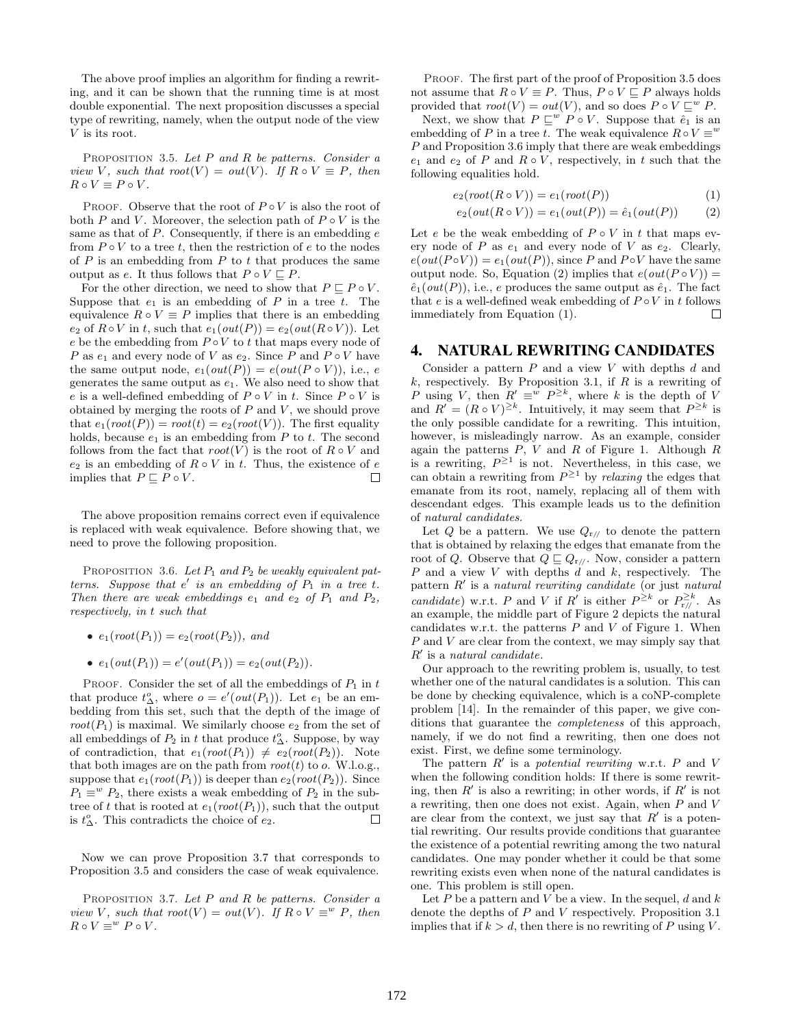The above proof implies an algorithm for finding a rewriting, and it can be shown that the running time is at most double exponential. The next proposition discusses a special type of rewriting, namely, when the output node of the view V is its root.

PROPOSITION 3.5. Let  $P$  and  $R$  be patterns. Consider a view V, such that  $root(V) = out(V)$ . If  $R \circ V \equiv P$ , then  $R \circ V \equiv P \circ V.$ 

PROOF. Observe that the root of  $P \circ V$  is also the root of both P and V. Moreover, the selection path of  $P \circ V$  is the same as that of  $P$ . Consequently, if there is an embedding  $e$ from  $P \circ V$  to a tree t, then the restriction of e to the nodes of  $P$  is an embedding from  $P$  to  $t$  that produces the same output as e. It thus follows that  $P \circ V \sqsubseteq P$ .

For the other direction, we need to show that  $P \sqsubset P \circ V$ . Suppose that  $e_1$  is an embedding of P in a tree t. The equivalence  $R \circ V \equiv P$  implies that there is an embedding  $e_2$  of  $R \circ V$  in t, such that  $e_1(out(P)) = e_2(out(R \circ V))$ . Let e be the embedding from  $P \circ V$  to t that maps every node of P as  $e_1$  and every node of V as  $e_2$ . Since P and  $P \circ V$  have the same output node,  $e_1(out(P)) = e(out(P \circ V))$ , i.e., e generates the same output as  $e_1$ . We also need to show that e is a well-defined embedding of  $P \circ V$  in t. Since  $P \circ V$  is obtained by merging the roots of  $P$  and  $V$ , we should prove that  $e_1(root(P)) = root(t) = e_2(root(V))$ . The first equality holds, because  $e_1$  is an embedding from P to t. The second follows from the fact that  $root(V)$  is the root of  $R \circ V$  and  $e_2$  is an embedding of  $R \circ V$  in t. Thus, the existence of  $e$ implies that  $P \sqsubseteq P \circ V.$  $\Box$ 

The above proposition remains correct even if equivalence is replaced with weak equivalence. Before showing that, we need to prove the following proposition.

PROPOSITION 3.6. Let  $P_1$  and  $P_2$  be weakly equivalent patterns. Suppose that  $e'$  is an embedding of  $P_1$  in a tree t. Then there are weak embeddings  $e_1$  and  $e_2$  of  $P_1$  and  $P_2$ , respectively, in t such that

- $e_1(root(P_1)) = e_2(root(P_2))$ , and
- $e_1(out(P_1)) = e'(out(P_1)) = e_2(out(P_2)).$

PROOF. Consider the set of all the embeddings of  $P_1$  in t that produce  $t^o_\Delta$ , where  $o = e'(out(P_1))$ . Let  $e_1$  be an embedding from this set, such that the depth of the image of  $root(P_1)$  is maximal. We similarly choose  $e_2$  from the set of all embeddings of  $P_2$  in t that produce  $t^o_\Delta$ . Suppose, by way of contradiction, that  $e_1(root(P_1)) \neq e_2(root(P_2))$ . Note that both images are on the path from  $root(t)$  to o. W.l.o.g., suppose that  $e_1(root(P_1))$  is deeper than  $e_2(root(P_2))$ . Since  $P_1 \equiv^w P_2$ , there exists a weak embedding of  $P_2$  in the subtree of t that is rooted at  $e_1(root(P_1))$ , such that the output is  $t^o_\Delta$ . This contradicts the choice of  $e_2$ .  $\Box$ 

Now we can prove Proposition 3.7 that corresponds to Proposition 3.5 and considers the case of weak equivalence.

PROPOSITION 3.7. Let  $P$  and  $R$  be patterns. Consider a view V, such that  $root(V) = out(V)$ . If  $R \circ V \equiv^w P$ , then  $R \circ V \equiv^w P \circ V.$ 

PROOF. The first part of the proof of Proposition 3.5 does not assume that  $R \circ V \equiv P$ . Thus,  $P \circ V \sqsubseteq P$  always holds provided that  $root(V) = out(V)$ , and so does  $P \circ V \sqsubseteq^w P$ .

Next, we show that  $P \sqsubseteq^w P \circ V$ . Suppose that  $\hat{e}_1$  is an embedding of P in a tree t. The weak equivalence  $R \circ V \equiv w$ P and Proposition 3.6 imply that there are weak embeddings  $e_1$  and  $e_2$  of P and  $R \circ V$ , respectively, in t such that the following equalities hold.

$$
e_2(root(R \circ V)) = e_1(root(P))
$$
\n<sup>(1)</sup>

$$
e_2(out(R \circ V)) = e_1(out(P)) = \hat{e}_1(out(P)) \qquad (2)
$$

Let e be the weak embedding of  $P \circ V$  in t that maps every node of P as  $e_1$  and every node of V as  $e_2$ . Clearly,  $e(out(P \circ V)) = e_1(out(P)),$  since P and P  $\circ V$  have the same output node. So, Equation (2) implies that  $e(out(P \circ V)) =$  $\hat{e}_1(out(P))$ , i.e., e produces the same output as  $\hat{e}_1$ . The fact that e is a well-defined weak embedding of  $P \circ V$  in t follows immediately from Equation (1).  $\Box$ 

#### 4. NATURAL REWRITING CANDIDATES

Consider a pattern  $P$  and a view  $V$  with depths  $d$  and  $k$ , respectively. By Proposition 3.1, if  $R$  is a rewriting of P using V, then  $R' \equiv^w P^{\geq k}$ , where k is the depth of V and  $R' = (R \circ V)^{\geq k}$ . Intuitively, it may seem that  $P^{\geq k}$  is the only possible candidate for a rewriting. This intuition, however, is misleadingly narrow. As an example, consider again the patterns  $P$ ,  $V$  and  $R$  of Figure 1. Although  $R$ is a rewriting,  $P^{\geq 1}$  is not. Nevertheless, in this case, we can obtain a rewriting from  $P^{\geq 1}$  by relaxing the edges that emanate from its root, namely, replacing all of them with descendant edges. This example leads us to the definition of natural candidates.

Let Q be a pattern. We use  $Q_{r/}$  to denote the pattern that is obtained by relaxing the edges that emanate from the root of Q. Observe that  $Q \sqsubseteq Q_{r/\!/}$ . Now, consider a pattern  $P$  and a view  $V$  with depths  $d$  and  $k$ , respectively. The pattern  $R'$  is a natural rewriting candidate (or just natural candidate) w.r.t. P and V if R' is either  $P^{\geq k}$  or  $P^{\geq k}_{r/}$ . As an example, the middle part of Figure 2 depicts the natural candidates w.r.t. the patterns  $P$  and  $V$  of Figure 1. When P and V are clear from the context, we may simply say that  $R'$  is a natural candidate.

Our approach to the rewriting problem is, usually, to test whether one of the natural candidates is a solution. This can be done by checking equivalence, which is a coNP-complete problem [14]. In the remainder of this paper, we give conditions that guarantee the completeness of this approach, namely, if we do not find a rewriting, then one does not exist. First, we define some terminology.

The pattern  $R'$  is a potential rewriting w.r.t. P and V when the following condition holds: If there is some rewriting, then  $R'$  is also a rewriting; in other words, if  $R'$  is not a rewriting, then one does not exist. Again, when P and V are clear from the context, we just say that  $R'$  is a potential rewriting. Our results provide conditions that guarantee the existence of a potential rewriting among the two natural candidates. One may ponder whether it could be that some rewriting exists even when none of the natural candidates is one. This problem is still open.

Let  $P$  be a pattern and  $V$  be a view. In the sequel,  $d$  and  $k$ denote the depths of P and V respectively. Proposition 3.1 implies that if  $k > d$ , then there is no rewriting of P using V.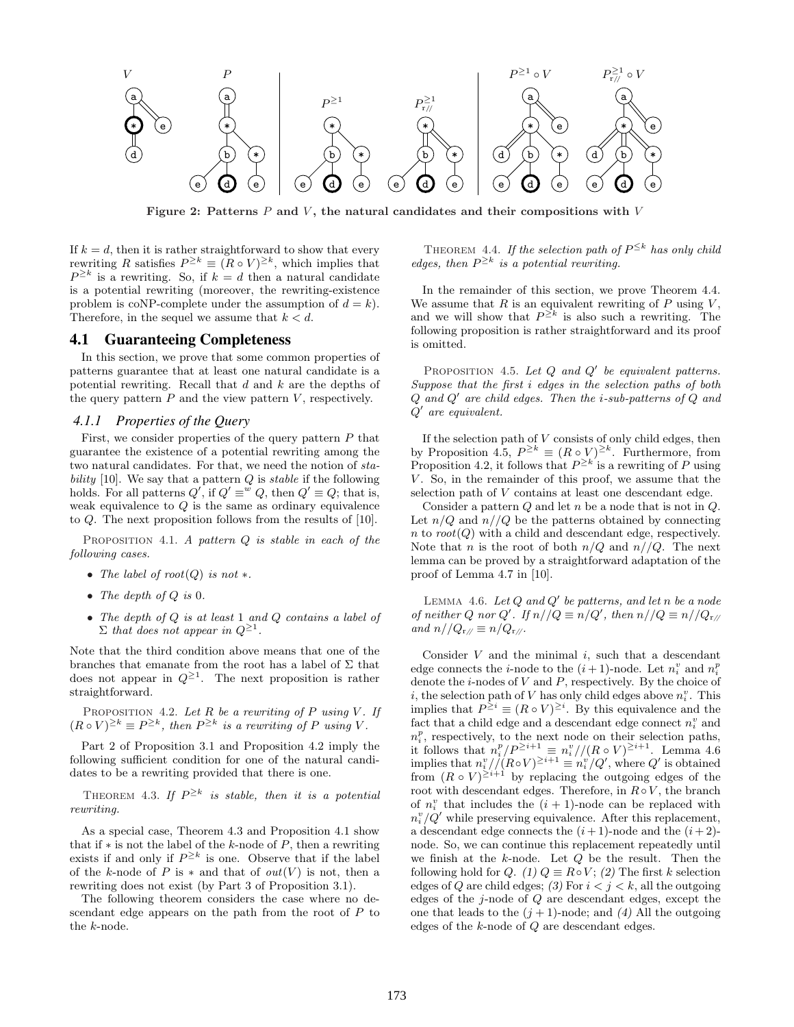

Figure 2: Patterns  $P$  and  $V$ , the natural candidates and their compositions with  $V$ 

If  $k = d$ , then it is rather straightforward to show that every rewriting R satisfies  $P^{\geq k} \equiv (R \circ V)^{\geq k}$ , which implies that  $P^{\geq k}$  is a rewriting. So, if  $k = d$  then a natural candidate is a potential rewriting (moreover, the rewriting-existence problem is coNP-complete under the assumption of  $d = k$ ). Therefore, in the sequel we assume that  $k < d$ .

#### 4.1 Guaranteeing Completeness

In this section, we prove that some common properties of patterns guarantee that at least one natural candidate is a potential rewriting. Recall that  $d$  and  $k$  are the depths of the query pattern  $P$  and the view pattern  $V$ , respectively.

#### *4.1.1 Properties of the Query*

First, we consider properties of the query pattern  $P$  that guarantee the existence of a potential rewriting among the two natural candidates. For that, we need the notion of stability [10]. We say that a pattern  $Q$  is stable if the following holds. For all patterns  $Q'$ , if  $Q' \equiv^w Q$ , then  $Q' \equiv Q$ ; that is, weak equivalence to  $Q$  is the same as ordinary equivalence to Q. The next proposition follows from the results of [10].

PROPOSITION 4.1. A pattern  $Q$  is stable in each of the following cases.

- The label of  $root(Q)$  is not  $*$ .
- The depth of  $Q$  is  $0$ .
- The depth of  $Q$  is at least  $1$  and  $Q$  contains a label of  $\Sigma$  that does not appear in  $Q^{\geq 1}$ .

Note that the third condition above means that one of the branches that emanate from the root has a label of  $\Sigma$  that does not appear in  $Q^{\geq 1}$ . The next proposition is rather straightforward.

PROPOSITION 4.2. Let R be a rewriting of P using V. If  $(R \circ V)^{\geq k} \equiv P^{\geq k}$ , then  $P^{\geq k}$  is a rewriting of P using V.

Part 2 of Proposition 3.1 and Proposition 4.2 imply the following sufficient condition for one of the natural candidates to be a rewriting provided that there is one.

THEOREM 4.3. If  $P^{\geq k}$  is stable, then it is a potential rewriting.

As a special case, Theorem 4.3 and Proposition 4.1 show that if  $*$  is not the label of the k-node of P, then a rewriting exists if and only if  $P^{\geq k}$  is one. Observe that if the label of the k-node of P is  $*$  and that of  $out(V)$  is not, then a rewriting does not exist (by Part 3 of Proposition 3.1).

The following theorem considers the case where no descendant edge appears on the path from the root of P to the k-node.

THEOREM 4.4. If the selection path of  $P^{\leq k}$  has only child edges, then  $P^{\geq k}$  is a potential rewriting.

In the remainder of this section, we prove Theorem 4.4. We assume that  $R$  is an equivalent rewriting of  $P$  using  $V$ , and we will show that  $P^{\geq k}$  is also such a rewriting. The following proposition is rather straightforward and its proof is omitted.

PROPOSITION 4.5. Let  $Q$  and  $Q'$  be equivalent patterns. Suppose that the first i edges in the selection paths of both  $Q$  and  $Q'$  are child edges. Then the *i*-sub-patterns of  $Q$  and  $Q'$  are equivalent.

If the selection path of  $V$  consists of only child edges, then by Proposition 4.5,  $P^{\geq k} \equiv (R \circ V)^{\geq k}$ . Furthermore, from Proposition 4.2, it follows that  $P^{\geq k}$  is a rewriting of P using  $V$ . So, in the remainder of this proof, we assume that the selection path of V contains at least one descendant edge.

Consider a pattern  $Q$  and let n be a node that is not in  $Q$ . Let  $n/Q$  and  $n//Q$  be the patterns obtained by connecting  $n$  to  $root(Q)$  with a child and descendant edge, respectively. Note that *n* is the root of both  $n/Q$  and  $n//Q$ . The next lemma can be proved by a straightforward adaptation of the proof of Lemma 4.7 in [10].

LEMMA 4.6. Let  $Q$  and  $Q'$  be patterns, and let n be a node of neither Q nor Q'. If  $n//Q \equiv n/Q'$ , then  $n//Q \equiv n//Q_{r}/Q$ and  $n//Q_{\rm r/\ell} \equiv n/Q_{\rm r/\ell}$ .

Consider  $V$  and the minimal  $i$ , such that a descendant edge connects the *i*-node to the  $(i + 1)$ -node. Let  $n_i^v$  and  $n_i^p$ denote the  $i$ -nodes of  $V$  and  $P$ , respectively. By the choice of i, the selection path of V has only child edges above  $n_i^v$ . This implies that  $P^{\geq i} \equiv (R \circ V)^{\geq i}$ . By this equivalence and the fact that a child edge and a descendant edge connect  $n_i^v$  and  $n_i^p$ , respectively, to the next node on their selection paths, it follows that  $n_i^p/P^{\geq i+1} \equiv n_i^p/(R \circ V)^{\geq i+1}$ . Lemma 4.6 implies that  $n_i^v // (R \circ V)^{\geq i+1} \equiv n_i^v / Q'$ , where  $Q'$  is obtained from  $(R \circ V)^{\geq i+1}$  by replacing the outgoing edges of the root with descendant edges. Therefore, in  $R ∘ V$ , the branch of  $n_i^v$  that includes the  $(i + 1)$ -node can be replaced with  $n_i^v/Q'$  while preserving equivalence. After this replacement, a descendant edge connects the  $(i+1)$ -node and the  $(i+2)$ node. So, we can continue this replacement repeatedly until we finish at the  $k$ -node. Let  $Q$  be the result. Then the following hold for Q. (1)  $Q \equiv R \circ V$ ; (2) The first k selection edges of Q are child edges; (3) For  $i < j < k$ , all the outgoing edges of the j-node of Q are descendant edges, except the one that leads to the  $(j + 1)$ -node; and  $(4)$  All the outgoing edges of the k-node of Q are descendant edges.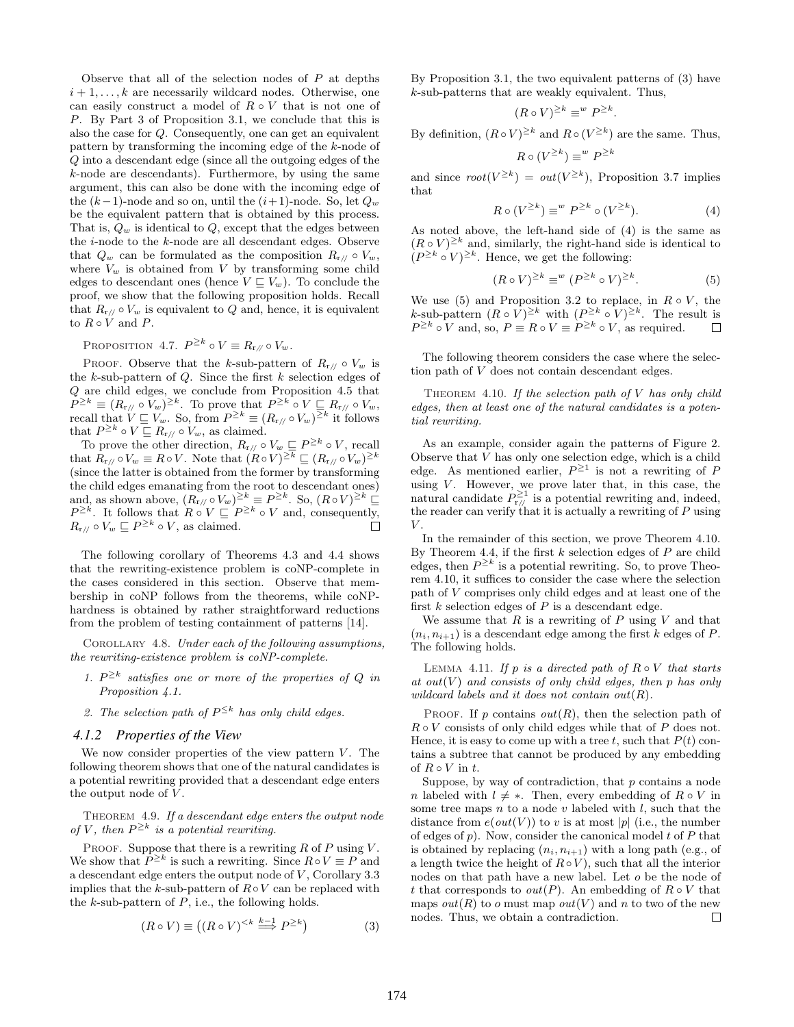Observe that all of the selection nodes of  $P$  at depths  $i+1,\ldots,k$  are necessarily wildcard nodes. Otherwise, one can easily construct a model of  $R \circ V$  that is not one of P. By Part 3 of Proposition 3.1, we conclude that this is also the case for Q. Consequently, one can get an equivalent pattern by transforming the incoming edge of the k-node of Q into a descendant edge (since all the outgoing edges of the k-node are descendants). Furthermore, by using the same argument, this can also be done with the incoming edge of the  $(k-1)$ -node and so on, until the  $(i+1)$ -node. So, let  $Q_w$ be the equivalent pattern that is obtained by this process. That is,  $Q_w$  is identical to  $Q$ , except that the edges between the i-node to the k-node are all descendant edges. Observe that  $Q_w$  can be formulated as the composition  $R_{r/} \circ V_w$ , where  $V_w$  is obtained from V by transforming some child edges to descendant ones (hence  $V \sqsubseteq V_w$ ). To conclude the proof, we show that the following proposition holds. Recall that  $R_{r\ell} \circ V_w$  is equivalent to Q and, hence, it is equivalent to  $R \circ V$  and  $P$ .

PROPOSITION 4.7.  $P^{\geq k} \circ V \equiv R_{\mathbf{r}/\mathbf{p}} \circ V_w$ .

PROOF. Observe that the k-sub-pattern of  $R_{r/} \circ V_w$  is the  $k$ -sub-pattern of  $Q$ . Since the first  $k$  selection edges of Q are child edges, we conclude from Proposition 4.5 that  $P^{\geq k} \equiv (R_{r/\!/} \circ V_w)^{\geq k}$ . To prove that  $P^{\geq k} \circ V \sqsubseteq R_{r/\!/} \circ V_w$ , recall that  $V \sqsubseteq V_w$ . So, from  $P^{\geq k} \equiv (R_{r/\!/} \circ V_w)^{\geq k}$  it follows that  $P^{\geq k} \circ V \sqsubseteq R_{r/\!/} \circ V_w$ , as claimed.

To prove the other direction,  $R_{r/\ell} \circ V_w \sqsubseteq P^{\geq k} \circ V$ , recall that  $R_{r/\mathcal{O}} \circ V_w \equiv R \circ V$ . Note that  $(R \circ V)^{\geq k} \sqsubseteq (R_{r/\mathcal{O}} \circ V_w)^{\geq k}$ (since the latter is obtained from the former by transforming the child edges emanating from the root to descendant ones) and, as shown above,  $(R_{r/\sqrt{p}} \circ V_w)^{\geq k} \equiv P^{\geq k}$ . So,  $(R \circ V)^{\geq k} \subseteq$  $P^{\geq k}$ . It follows that  $R \circ V \sqsubseteq P^{\geq k} \circ V$  and, consequently,  $R_{\rm r/\mathit{l}} \circ V_w \sqsubseteq P^{\geq k} \circ V$ , as claimed.

The following corollary of Theorems 4.3 and 4.4 shows that the rewriting-existence problem is coNP-complete in the cases considered in this section. Observe that membership in coNP follows from the theorems, while coNPhardness is obtained by rather straightforward reductions from the problem of testing containment of patterns [14].

COROLLARY 4.8. Under each of the following assumptions, the rewriting-existence problem is coNP-complete.

- 1.  $P^{\geq k}$  satisfies one or more of the properties of Q in Proposition  $4.1$ .
- 2. The selection path of  $P^{\leq k}$  has only child edges.

#### *4.1.2 Properties of the View*

We now consider properties of the view pattern  $V$ . The following theorem shows that one of the natural candidates is a potential rewriting provided that a descendant edge enters the output node of  $V$ .

THEOREM 4.9. If a descendant edge enters the output node of V, then  $P^{\geq k}$  is a potential rewriting.

PROOF. Suppose that there is a rewriting  $R$  of  $P$  using  $V$ . We show that  $P^{\geq k}$  is such a rewriting. Since  $R \circ V \equiv P$  and a descendant edge enters the output node of  $V$ , Corollary 3.3 implies that the k-sub-pattern of  $R \circ V$  can be replaced with the  $k$ -sub-pattern of  $P$ , i.e., the following holds.

$$
(R \circ V) \equiv ((R \circ V)^{< k} \stackrel{k-1}{\Longrightarrow} P^{\geq k})
$$
\n<sup>(3)</sup>

By Proposition 3.1, the two equivalent patterns of (3) have k-sub-patterns that are weakly equivalent. Thus,

$$
(R \circ V)^{\geq k} \equiv^w P^{\geq k}.
$$

By definition,  $(R \circ V)^{\geq k}$  and  $R \circ (V^{\geq k})$  are the same. Thus,

$$
R \circ (V^{\ge k}) \equiv^w P^{\ge k}
$$

and since  $root(V^{\ge k}) = out(V^{\ge k})$ , Proposition 3.7 implies that

$$
R \circ (V^{\ge k}) \equiv^w P^{\ge k} \circ (V^{\ge k}). \tag{4}
$$

As noted above, the left-hand side of (4) is the same as  $(R \circ V)^{\geq k}$  and, similarly, the right-hand side is identical to  $(P^{\geq k} \circ V)^{\geq k}$ . Hence, we get the following:

$$
(R \circ V)^{\geq k} \equiv^w (P^{\geq k} \circ V)^{\geq k}.
$$
 (5)

We use (5) and Proposition 3.2 to replace, in  $R \circ V$ , the k-sub-pattern  $(R \circ V)^{\geq k}$  with  $(P^{\geq k} \circ V)^{\geq k}$ . The result is  $P^{\geq k} \circ V$  and, so,  $P \equiv R \circ V \equiv P^{\geq k} \circ V$ , as required.  $\Box$ 

The following theorem considers the case where the selection path of V does not contain descendant edges.

THEOREM 4.10. If the selection path of  $V$  has only child edges, then at least one of the natural candidates is a potential rewriting.

As an example, consider again the patterns of Figure 2. Observe that V has only one selection edge, which is a child edge. As mentioned earlier,  $P^{\geq 1}$  is not a rewriting of P using  $V$ . However, we prove later that, in this case, the natural candidate  $P_{r/l}^{\geq 1}$  is a potential rewriting and, indeed, the reader can verify that it is actually a rewriting of  $P$  using  $V.$ 

In the remainder of this section, we prove Theorem 4.10. By Theorem 4.4, if the first  $k$  selection edges of  $P$  are child edges, then  $P^{\geq k}$  is a potential rewriting. So, to prove Theorem 4.10, it suffices to consider the case where the selection path of V comprises only child edges and at least one of the first  $k$  selection edges of  $P$  is a descendant edge.

We assume that  $R$  is a rewriting of  $P$  using  $V$  and that  $(n_i, n_{i+1})$  is a descendant edge among the first k edges of P. The following holds.

LEMMA 4.11. If p is a directed path of  $R \circ V$  that starts at out  $(V)$  and consists of only child edges, then p has only wildcard labels and it does not contain out  $(R)$ .

PROOF. If p contains  $out(R)$ , then the selection path of  $R \circ V$  consists of only child edges while that of P does not. Hence, it is easy to come up with a tree t, such that  $P(t)$  contains a subtree that cannot be produced by any embedding of  $R \circ V$  in  $t$ .

Suppose, by way of contradiction, that  $p$  contains a node n labeled with  $l \neq *$ . Then, every embedding of  $R \circ V$  in some tree maps  $n$  to a node  $v$  labeled with  $l$ , such that the distance from  $e(out(V))$  to v is at most |p| (i.e., the number of edges of  $p$ ). Now, consider the canonical model  $t$  of  $P$  that is obtained by replacing  $(n_i, n_{i+1})$  with a long path (e.g., of a length twice the height of  $R ∘ V$ , such that all the interior nodes on that path have a new label. Let o be the node of t that corresponds to  $out(P)$ . An embedding of  $R \circ V$  that maps  $out(R)$  to o must map  $out(V)$  and n to two of the new nodes. Thus, we obtain a contradiction. □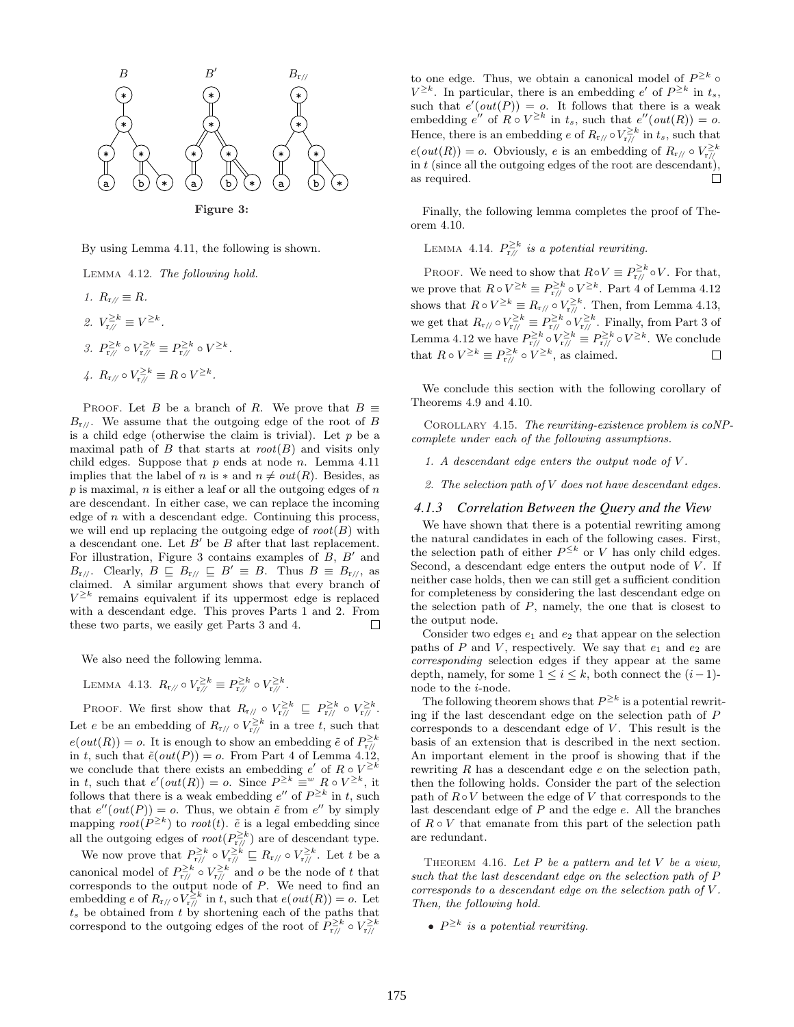

By using Lemma 4.11, the following is shown.

Lemma 4.12. The following hold.

- 1.  $R_{\rm r}$  //  $\equiv R$ .
- 2.  $V_{\mathbf{r}/\mathbf{r}}^{\geq k} \equiv V^{\geq k}$ .
- 3.  $P_{\mathbf{r}\mathbf{y}}^{\geq k} \circ V_{\mathbf{r}\mathbf{y}}^{\geq k} \equiv P_{\mathbf{r}\mathbf{y}}^{\geq k} \circ V^{\geq k}$ .
- 4.  $R_{\rm r/\sqrt{ }} \circ V_{\rm r/\sqrt{ }}^{\geq k} \equiv R \circ V^{\geq k}.$

PROOF. Let B be a branch of R. We prove that  $B \equiv$  $B_{r/}$ . We assume that the outgoing edge of the root of B is a child edge (otherwise the claim is trivial). Let  $p$  be a maximal path of  $B$  that starts at  $root(B)$  and visits only child edges. Suppose that  $p$  ends at node  $n$ . Lemma 4.11 implies that the label of n is  $*$  and  $n \neq out(R)$ . Besides, as  $p$  is maximal,  $n$  is either a leaf or all the outgoing edges of  $n$ are descendant. In either case, we can replace the incoming edge of  $n$  with a descendant edge. Continuing this process, we will end up replacing the outgoing edge of  $root(B)$  with a descendant one. Let  $B'$  be  $B$  after that last replacement. For illustration, Figure 3 contains examples of  $B$ ,  $B'$  and  $B_{r/}$ . Clearly,  $B \subseteq B_{r/} \subseteq B' \equiv B$ . Thus  $B \equiv B_{r/}$ , as claimed. A similar argument shows that every branch of  $V^{\geq k}$  remains equivalent if its uppermost edge is replaced with a descendant edge. This proves Parts 1 and 2. From these two parts, we easily get Parts 3 and 4.  $\Box$ 

We also need the following lemma.

LEMMA 4.13.  $R_{\rm r/\!\!/} \circ V_{\rm r/\!\!/}^{\ge k} \equiv P_{{\rm r/\!\!/}}^{\ge k} \circ V_{{\rm r/\!\!/}}^{\ge k}$ .

PROOF. We first show that  $R_{r/\!/} \circ V_{r/\!/}^{\geq k} \subseteq P_{r/\!/}^{\geq k} \circ V_{r/\!/}^{\geq k}$ . Let e be an embedding of  $R_{r/} \circ V_{r/}^{\geq k}$  in a tree t, such that  $e(out(R)) = o$ . It is enough to show an embedding  $\tilde{e}$  of  $P_{r/l}^{\geq k}$ in t, such that  $\tilde{e}(out(P)) = o$ . From Part 4 of Lemma 4.12, we conclude that there exists an embedding e' of  $R \circ V^{\geq k}$ in t, such that  $e'(out(R)) = o$ . Since  $P^{\geq k} \equiv w \ R \circ V^{\geq k}$ , it follows that there is a weak embedding  $e''$  of  $P^{\geq k}$  in t, such that  $e''(out(P)) = o$ . Thus, we obtain  $\tilde{e}$  from  $e''$  by simply mapping  $root(P^{\ge k})$  to  $root(t)$ .  $\tilde{e}$  is a legal embedding since all the outgoing edges of  $root(P_{r/}/p^{\ge k})$  are of descendant type.

We now prove that  $P_{r/l}^{\geq k} \circ V_{r/l}^{\geq k} \sqsubseteq R_{r/l} \circ V_{r/l}^{\geq k}$ . Let t be a canonical model of  $P_{r/\!/}^{\geq k}$  o  $V_{r/\!/}^{\geq k}$  and *o* be the node of *t* that corresponds to the output node of P. We need to find an embedding e of  $R_{r/\langle} \circ V_{r/\langle}^{\geq k}$  in t, such that  $e(out(R)) = o$ . Let  $t<sub>s</sub>$  be obtained from t by shortening each of the paths that correspond to the outgoing edges of the root of  $\tilde{P}_{r/f}^{\geq k} \circ V_{r/f}^{\geq k}$ 

to one edge. Thus, we obtain a canonical model of  $P^{\geq k}$  o  $V^{\geq k}$ . In particular, there is an embedding e' of  $P^{\geq k}$  in  $t_s$ , such that  $e'(out(P)) = o$ . It follows that there is a weak embedding  $e''$  of  $R \circ V^{\geq k}$  in  $t_s$ , such that  $e''(\text{out}(R)) = o$ . Hence, there is an embedding e of  $R_{r/\ell} \circ V_{r/\ell}^{\geq k}$  in  $t_s$ , such that  $e(out(R)) = o.$  Obviously, e is an embedding of  $R_{r/\ell} \circ V_{r/\ell}^{\geq k}$ in  $t$  (since all the outgoing edges of the root are descendant), П as required.

Finally, the following lemma completes the proof of Theorem 4.10.

LEMMA 4.14.  $P_{\rm r/\!/}^{\geq k}$  is a potential rewriting.

PROOF. We need to show that  $R \circ V \equiv P_{r/\!/}^{\geq k} \circ V$ . For that, we prove that  $R \circ V^{\geq k} \equiv P^{\geq k}_{r_l/s} \circ V^{\geq k}$ . Part 4 of Lemma 4.12 shows that  $R \circ V^{\geq k} \equiv R_{r/\!/} \circ V_{r/\!/}^{\geq k}$ . Then, from Lemma 4.13, we get that  $R_{r/\!/} \circ V_{r/\!/}^{\geq k} \equiv P_{r/\!/}^{\geq k} \circ V_{r/\!/}^{\geq k}$ . Finally, from Part 3 of Lemma 4.12 we have  $P_{r/}^{\geq k} \circ V_{r/}^{\geq k} \equiv P_{r/}^{\geq k} \circ V^{\geq k}$ . We conclude that  $R \circ V^{\geq k} \equiv P^{\geq k}_{r} \circ V^{\geq k}$ , as claimed.

We conclude this section with the following corollary of Theorems 4.9 and 4.10.

COROLLARY 4.15. The rewriting-existence problem is  $coNP$ complete under each of the following assumptions.

1. A descendant edge enters the output node of V .

2. The selection path of  $V$  does not have descendant edges.

#### *4.1.3 Correlation Between the Query and the View*

We have shown that there is a potential rewriting among the natural candidates in each of the following cases. First, the selection path of either  $P^{\leq k}$  or V has only child edges. Second, a descendant edge enters the output node of  $V$ . If neither case holds, then we can still get a sufficient condition for completeness by considering the last descendant edge on the selection path of  $P$ , namely, the one that is closest to the output node.

Consider two edges  $e_1$  and  $e_2$  that appear on the selection paths of P and V, respectively. We say that  $e_1$  and  $e_2$  are corresponding selection edges if they appear at the same depth, namely, for some  $1 \leq i \leq k$ , both connect the  $(i-1)$ node to the i-node.

The following theorem shows that  $P^{\geq k}$  is a potential rewriting if the last descendant edge on the selection path of P corresponds to a descendant edge of  $V$ . This result is the basis of an extension that is described in the next section. An important element in the proof is showing that if the rewriting R has a descendant edge e on the selection path, then the following holds. Consider the part of the selection path of  $R \circ V$  between the edge of V that corresponds to the last descendant edge of P and the edge e. All the branches of  $R \circ V$  that emanate from this part of the selection path are redundant.

THEOREM 4.16. Let  $P$  be a pattern and let  $V$  be a view, such that the last descendant edge on the selection path of P corresponds to a descendant edge on the selection path of V . Then, the following hold.

•  $P^{\geq k}$  is a potential rewriting.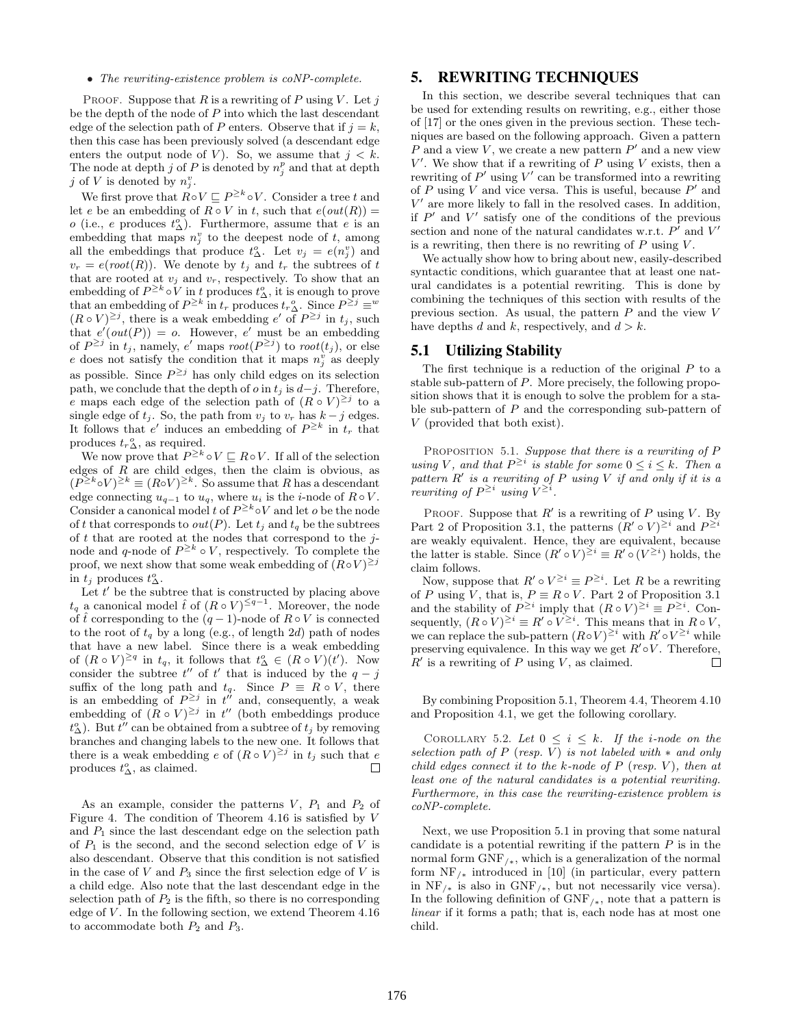#### • The rewriting-existence problem is coNP-complete.

PROOF. Suppose that  $R$  is a rewriting of  $P$  using  $V$ . Let  $j$ be the depth of the node of  $P$  into which the last descendant edge of the selection path of P enters. Observe that if  $j = k$ , then this case has been previously solved (a descendant edge enters the output node of V). So, we assume that  $j < k$ . The node at depth j of P is denoted by  $n_j^p$  and that at depth j of V is denoted by  $n_j^v$ .

We first prove that  $R \circ V \sqsubseteq P^{\geq k} \circ V$ . Consider a tree t and let e be an embedding of  $R \circ V$  in t, such that  $e(out(R)) =$ *o* (i.e., *e* produces  $t_{\Delta}^o$ ). Furthermore, assume that *e* is an embedding that maps  $n_j^v$  to the deepest node of t, among all the embeddings that produce  $t^o_\Delta$ . Let  $v_j = e(n^v_j)$  and  $v_r = e(root(R))$ . We denote by  $t_i$  and  $t_r$  the subtrees of t that are rooted at  $v_j$  and  $v_r$ , respectively. To show that an embedding of  $P^{\geq k} \circ V$  in t produces  $t^o_{\Delta}$ , it is enough to prove that an embedding of  $P^{\geq k}$  in  $t_r$  produces  $t_r$ <sup>o</sup><sub>2</sub>. Since  $P^{\geq j} \equiv w$  $(R \circ V)^{\geq j}$ , there is a weak embedding e' of  $P^{\geq j}$  in  $t_j$ , such that  $e'(out(P)) = o$ . However, e' must be an embedding of  $P^{\geq j}$  in  $t_j$ , namely, e' maps  $root(P^{\geq j})$  to  $root(t_j)$ , or else e does not satisfy the condition that it maps  $n_j^{\nu}$  as deeply as possible. Since  $P^{\geq j}$  has only child edges on its selection path, we conclude that the depth of  $o$  in  $t_j$  is  $d-j$ . Therefore, e maps each edge of the selection path of  $(R \circ V)^{\geq j}$  to a single edge of  $t_i$ . So, the path from  $v_i$  to  $v_r$  has  $k - j$  edges. It follows that e' induces an embedding of  $P^{\geq k}$  in  $t_r$  that produces  $t_r^o_{\Delta}$ , as required.

We now prove that  $P^{\geq k} \circ V \sqsubseteq R \circ V$ . If all of the selection edges of  $R$  are child edges, then the claim is obvious, as  $(P^{\geq k} \circ V)^{\geq k} \equiv (R \circ V)^{\geq k}$ . So assume that R has a descendant edge connecting  $u_{q-1}$  to  $u_q$ , where  $u_i$  is the *i*-node of  $R \circ V$ . Consider a canonical model t of  $P^{\geq k} \circ V$  and let o be the node of t that corresponds to  $out(P)$ . Let  $t_i$  and  $t_q$  be the subtrees of  $t$  that are rooted at the nodes that correspond to the  $j$ node and q-node of  $P^{\geq k} \circ V$ , respectively. To complete the proof, we next show that some weak embedding of  $(R \circ V)^{\geq j}$ in  $t_j$  produces  $t_\Delta^o$ .

Let  $t'$  be the subtree that is constructed by placing above  $t_q$  a canonical model  $\hat{t}$  of  $(R \circ V)^{\leq q-1}$ . Moreover, the node of  $\hat{t}$  corresponding to the  $(q-1)$ -node of  $R \circ V$  is connected to the root of  $t_q$  by a long (e.g., of length 2d) path of nodes that have a new label. Since there is a weak embedding of  $(R \circ V)^{\geq q}$  in  $t_q$ , it follows that  $t_\Delta^o \in (R \circ V)(t')$ . Now consider the subtree  $t''$  of  $t'$  that is induced by the  $q - j$ suffix of the long path and  $t_q$ . Since  $P \equiv R \circ V$ , there is an embedding of  $P^{\geq j}$  in  $t^{\prime\prime}$  and, consequently, a weak embedding of  $(R \circ V)^{\geq j}$  in t'' (both embeddings produce  $t_{\Delta}^{o}$ ). But  $t^{\prime\prime}$  can be obtained from a subtree of  $t_j$  by removing branches and changing labels to the new one. It follows that there is a weak embedding e of  $(R \circ V)^{\geq j}$  in  $t_j$  such that e produces  $t^o_\Delta$ , as claimed.  $\Box$ 

As an example, consider the patterns  $V$ ,  $P_1$  and  $P_2$  of Figure 4. The condition of Theorem 4.16 is satisfied by V and  $P_1$  since the last descendant edge on the selection path of  $P_1$  is the second, and the second selection edge of V is also descendant. Observe that this condition is not satisfied in the case of  $V$  and  $P_3$  since the first selection edge of  $V$  is a child edge. Also note that the last descendant edge in the selection path of  $P_2$  is the fifth, so there is no corresponding edge of  $V$ . In the following section, we extend Theorem 4.16 to accommodate both  $P_2$  and  $P_3$ .

# 5. REWRITING TECHNIQUES

In this section, we describe several techniques that can be used for extending results on rewriting, e.g., either those of [17] or the ones given in the previous section. These techniques are based on the following approach. Given a pattern P and a view V, we create a new pattern  $P'$  and a new view  $V'$ . We show that if a rewriting of  $P$  using  $V$  exists, then a rewriting of  $P'$  using  $V'$  can be transformed into a rewriting of P using V and vice versa. This is useful, because  $P'$  and  $V'$  are more likely to fall in the resolved cases. In addition, if  $P'$  and  $V'$  satisfy one of the conditions of the previous section and none of the natural candidates w.r.t.  $P^{\dagger}$  and  $V'$ is a rewriting, then there is no rewriting of  $P$  using  $V$ .

We actually show how to bring about new, easily-described syntactic conditions, which guarantee that at least one natural candidates is a potential rewriting. This is done by combining the techniques of this section with results of the previous section. As usual, the pattern  $P$  and the view  $V$ have depths d and k, respectively, and  $d > k$ .

#### 5.1 Utilizing Stability

The first technique is a reduction of the original  $P$  to a stable sub-pattern of P. More precisely, the following proposition shows that it is enough to solve the problem for a stable sub-pattern of  $P$  and the corresponding sub-pattern of V (provided that both exist).

PROPOSITION 5.1. Suppose that there is a rewriting of  $P$ using V, and that  $P^{\geq i}$  is stable for some  $0 \leq i \leq k$ . Then a pattern  $R'$  is a rewriting of P using V if and only if it is a rewriting of  $P^{\geq i}$  using  $V^{\geq i}$ .

PROOF. Suppose that  $R'$  is a rewriting of P using V. By Part 2 of Proposition 3.1, the patterns  $(R' \circ V)^{\geq i}$  and  $P^{\geq i}$ are weakly equivalent. Hence, they are equivalent, because the latter is stable. Since  $(R' \circ V)^{\geq i} \equiv R' \circ (V^{\geq i})$  holds, the claim follows.

Now, suppose that  $R' \circ V^{\geq i} \equiv P^{\geq i}$ . Let R be a rewriting of P using V, that is,  $P \equiv R \circ V$ . Part 2 of Proposition 3.1 and the stability of  $P^{\geq i}$  imply that  $(R \circ V)^{\geq i} \equiv P^{\geq i}$ . Consequently,  $(R \circ V)^{\geq i} \equiv R' \circ V^{\geq i}$ . This means that in  $R \circ V$ , we can replace the sub-pattern  $(R \circ V)^{\geq i}$  with  $R' \circ V^{\geq i}$  while preserving equivalence. In this way we get  $R' \circ V$ . Therefore,  $R'$  is a rewriting of P using V, as claimed.  $\Box$ 

By combining Proposition 5.1, Theorem 4.4, Theorem 4.10 and Proposition 4.1, we get the following corollary.

COROLLARY 5.2. Let  $0 \leq i \leq k$ . If the *i-node* on the selection path of  $P$  (resp. V) is not labeled with  $*$  and only child edges connect it to the k-node of  $P$  (resp. V), then at least one of the natural candidates is a potential rewriting. Furthermore, in this case the rewriting-existence problem is coNP-complete.

Next, we use Proposition 5.1 in proving that some natural candidate is a potential rewriting if the pattern  $P$  is in the normal form  $GNF_{\ell*}$ , which is a generalization of the normal form  $NF_{\ell^*}$  introduced in [10] (in particular, every pattern in  $NF_{\ell^*}$  is also in  $GNF_{\ell^*}$ , but not necessarily vice versa). In the following definition of  $GNF_{\ell^*}$ , note that a pattern is linear if it forms a path; that is, each node has at most one child.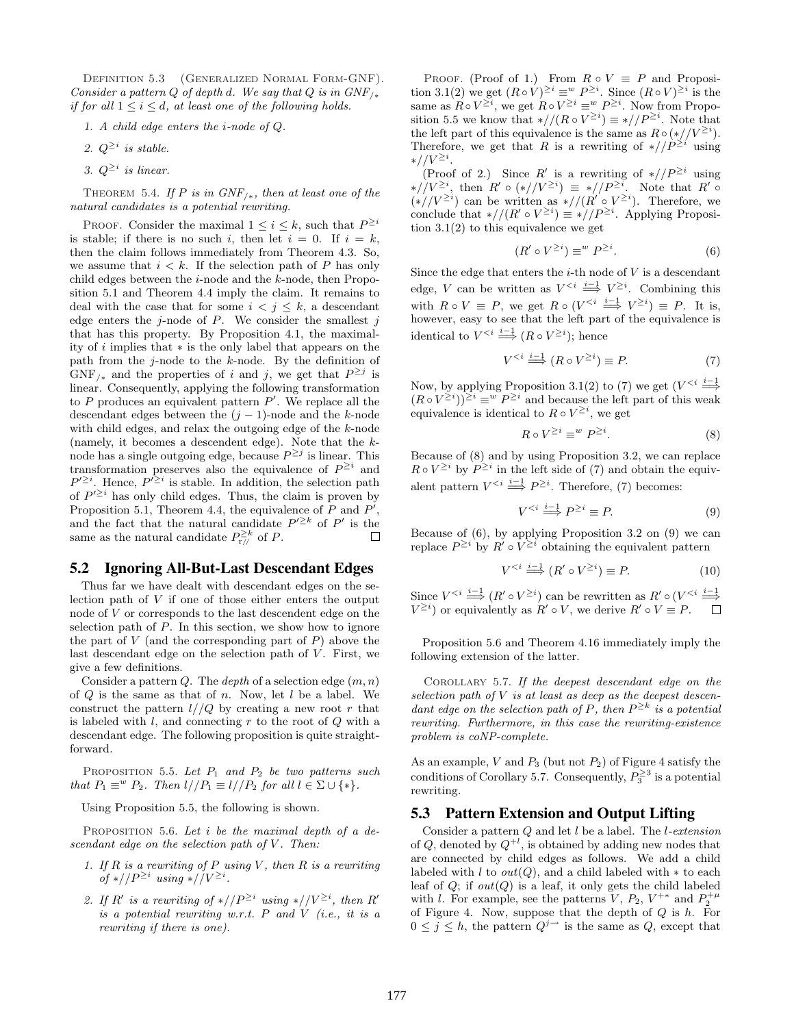Definition 5.3 (Generalized Normal Form-GNF). Consider a pattern Q of depth d. We say that Q is in  $GNF_{\perp *}$ if for all  $1 \leq i \leq d$ , at least one of the following holds.

- 1. A child edge enters the i-node of Q.
- 2.  $Q^{\geq i}$  is stable.
- 3.  $Q^{\geq i}$  is linear.

THEOREM 5.4. If P is in  $GNF_{/*}$ , then at least one of the natural candidates is a potential rewriting.

PROOF. Consider the maximal  $1 \leq i \leq k$ , such that  $P^{\geq i}$ is stable; if there is no such i, then let  $i = 0$ . If  $i = k$ , then the claim follows immediately from Theorem 4.3. So, we assume that  $i < k$ . If the selection path of P has only child edges between the  $i$ -node and the  $k$ -node, then Proposition 5.1 and Theorem 4.4 imply the claim. It remains to deal with the case that for some  $i < j \leq k$ , a descendant edge enters the j-node of  $P$ . We consider the smallest j that has this property. By Proposition 4.1, the maximality of i implies that ∗ is the only label that appears on the path from the  $j$ -node to the  $k$ -node. By the definition of  $GNF_{\ell^*}$  and the properties of i and j, we get that  $P^{\geq j}$  is linear. Consequently, applying the following transformation to  $P$  produces an equivalent pattern  $P'$ . We replace all the descendant edges between the  $(j - 1)$ -node and the k-node with child edges, and relax the outgoing edge of the k-node (namely, it becomes a descendent edge). Note that the knode has a single outgoing edge, because  $P^{\geq j}$  is linear. This transformation preserves also the equivalence of  $P^{\geq i}$  and  $P^{\prime \geq i}$ . Hence,  $P^{\prime \geq i}$  is stable. In addition, the selection path of  $P^{\prime \geq i}$  has only child edges. Thus, the claim is proven by Proposition 5.1, Theorem 4.4, the equivalence of  $P$  and  $P'$ , and the fact that the natural candidate  $P^{\prime \geq k}$  of P' is the same as the natural candidate  $P_{\rm r//}^{\geq k}$  of P.

#### 5.2 Ignoring All-But-Last Descendant Edges

Thus far we have dealt with descendant edges on the selection path of V if one of those either enters the output node of V or corresponds to the last descendent edge on the selection path of  $P$ . In this section, we show how to ignore the part of  $V$  (and the corresponding part of  $P$ ) above the last descendant edge on the selection path of  $V$ . First, we give a few definitions.

Consider a pattern Q. The depth of a selection edge  $(m, n)$ of  $Q$  is the same as that of n. Now, let  $l$  be a label. We construct the pattern  $l//Q$  by creating a new root r that is labeled with  $l$ , and connecting  $r$  to the root of  $Q$  with a descendant edge. The following proposition is quite straightforward.

PROPOSITION 5.5. Let  $P_1$  and  $P_2$  be two patterns such that  $P_1 \equiv^w P_2$ . Then  $l // P_1 \equiv l // P_2$  for all  $l \in \Sigma \cup \{*\}.$ 

Using Proposition 5.5, the following is shown.

PROPOSITION 5.6. Let  $i$  be the maximal depth of a descendant edge on the selection path of  $V$ . Then:

- 1. If  $R$  is a rewriting of  $P$  using  $V$ , then  $R$  is a rewriting of \*// $P^{\geq i}$  using \*// $V^{\geq i}$ .
- 2. If R' is a rewriting of  $\sqrt[p]{P^{\geq i}}$  using  $\sqrt[p]{V^{\geq i}}$ , then R' is a potential rewriting w.r.t.  $P$  and  $V$  (i.e., it is a rewriting if there is one).

PROOF. (Proof of 1.) From  $R \circ V \equiv P$  and Proposition 3.1(2) we get  $(R \circ V)^{\geq i} \equiv w P^{\geq i}$ . Since  $(R \circ V)^{\geq i}$  is the same as  $R \circ V^{\geq i}$ , we get  $R \circ V^{\geq i} \equiv w P^{\geq i}$ . Now from Proposition 5.5 we know that  $\sqrt{(R \circ V^{\geq i})} \equiv \sqrt{(P^{\geq i})}$ . Note that the left part of this equivalence is the same as  $R \circ (*//V^{\geq i})$ . Therefore, we get that R is a rewriting of  $\sqrt[p]{P^{\geq i}}$  using  $*//V^{\geq i}$ .

(Proof of 2.) Since R' is a rewriting of  $\sqrt[p]{P^{\geq i}}$  using \*// $V^{\geq i}$ , then  $R' \circ (*//V^{\geq i}) \equiv *//P^{\geq i}$ . Note that  $R' \circ$  $(\ast//V^{\geq i})$  can be written as  $\ast//(R' \circ V^{\geq i})$ . Therefore, we conclude that  $*/((R' \circ V^{\geq i}) \equiv *//P^{\geq i}$ . Applying Proposition 3.1(2) to this equivalence we get

$$
(R' \circ V^{\geq i}) \equiv^w P^{\geq i}.
$$
 (6)

Since the edge that enters the  $i$ -th node of  $V$  is a descendant edge, V can be written as  $V^{\leq i} \stackrel{i-1}{\Longrightarrow} V^{\geq i}$ . Combining this with  $R \circ V \equiv P$ , we get  $R \circ (V^{\leq i} \stackrel{i-1}{\Longrightarrow} V^{\geq i}) \equiv P$ . It is, however, easy to see that the left part of the equivalence is identical to  $V^{\leq i} \stackrel{i-1}{\Longrightarrow} (R \circ V^{\geq i})$ ; hence

$$
V^{< i} \stackrel{i-1}{\Longrightarrow} (R \circ V^{\geq i}) \equiv P. \tag{7}
$$

Now, by applying Proposition 3.1(2) to (7) we get  $(V^{\leq i} \stackrel{i-1}{\Longrightarrow})$  $(R \circ V^{\geq i})^{\geq i} \equiv w P^{\geq i}$  and because the left part of this weak equivalence is identical to  $R \circ V^{\geq i}$ , we get

$$
R \circ V^{\geq i} \equiv^w P^{\geq i}.\tag{8}
$$

Because of (8) and by using Proposition 3.2, we can replace  $R \circ V^{\geq i}$  by  $P^{\geq i}$  in the left side of (7) and obtain the equivalent pattern  $V^{\leq i} \stackrel{i-1}{\Longrightarrow} P^{\geq i}$ . Therefore, (7) becomes:

$$
V^{< i} \stackrel{i-1}{\Longrightarrow} P^{\geq i} \equiv P. \tag{9}
$$

Because of (6), by applying Proposition 3.2 on (9) we can replace  $P^{\geq i}$  by  $R' \circ V^{\geq i}$  obtaining the equivalent pattern

$$
V^{&i} \stackrel{i-1}{\Longrightarrow} (R' \circ V^{\geq i}) \equiv P. \tag{10}
$$

Since  $V^{\leq i} \stackrel{i-1}{\Longrightarrow} (R' \circ V^{\geq i})$  can be rewritten as  $R' \circ (V^{\leq i} \stackrel{i-1}{\Longrightarrow})$  $V^{\geq i}$  or equivalently as  $R' \circ V$ , we derive  $R' \circ V \equiv P$ . □

Proposition 5.6 and Theorem 4.16 immediately imply the following extension of the latter.

Corollary 5.7. If the deepest descendant edge on the selection path of  $V$  is at least as deep as the deepest descendant edge on the selection path of P, then  $P^{\geq k}$  is a potential rewriting. Furthermore, in this case the rewriting-existence problem is coNP-complete.

As an example,  $V$  and  $P_3$  (but not  $P_2$ ) of Figure 4 satisfy the conditions of Corollary 5.7. Consequently,  $P_3^{\geq 3}$  is a potential rewriting.

# 5.3 Pattern Extension and Output Lifting

Consider a pattern  $Q$  and let  $l$  be a label. The *l*-extension of Q, denoted by  $Q^{+l}$ , is obtained by adding new nodes that are connected by child edges as follows. We add a child labeled with l to  $out(Q)$ , and a child labeled with  $*$  to each leaf of  $Q$ ; if  $out(Q)$  is a leaf, it only gets the child labeled with *l*. For example, see the patterns  $V, P_2, V^{+*}$  and  $P_2^{+\mu}$ of Figure 4. Now, suppose that the depth of  $Q$  is  $h$ . For  $0 \leq j \leq h$ , the pattern  $Q^{j\rightarrow}$  is the same as Q, except that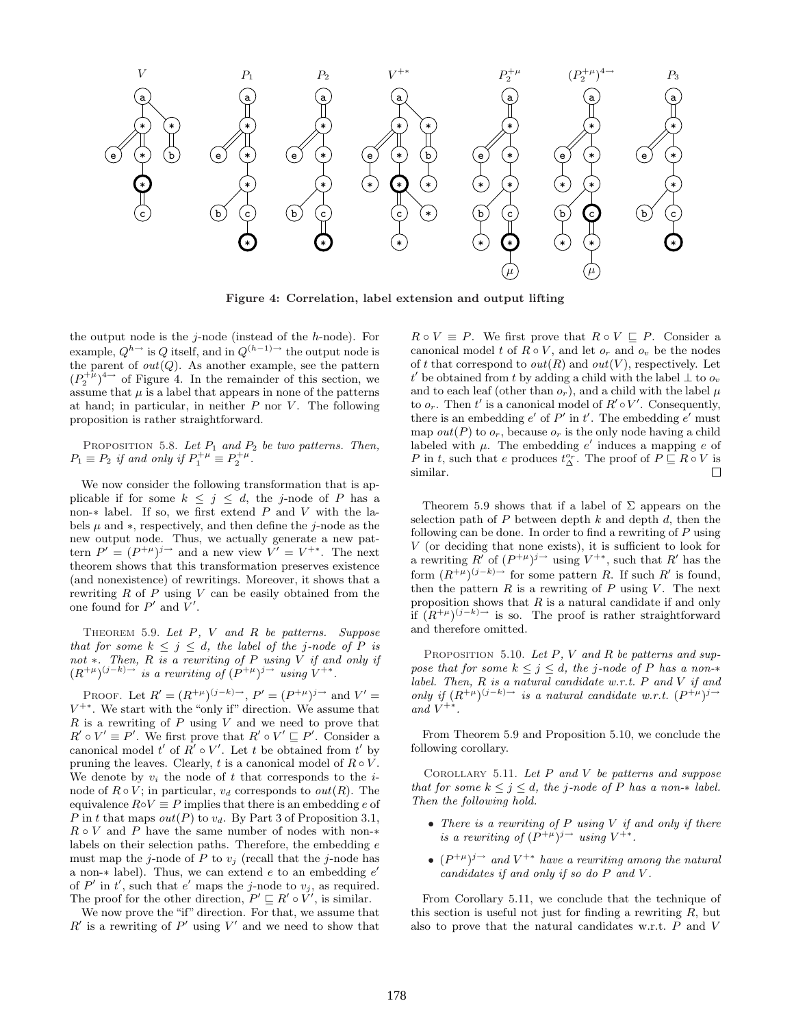

Figure 4: Correlation, label extension and output lifting

the output node is the  $j$ -node (instead of the  $h$ -node). For example,  $Q^{h\rightarrow}$  is Q itself, and in  $Q^{(h-1)\rightarrow}$  the output node is the parent of  $out(Q)$ . As another example, see the pattern  $(P_2^{+ \mu})^{4 \to}$  of Figure 4. In the remainder of this section, we assume that  $\mu$  is a label that appears in none of the patterns at hand; in particular, in neither  $P$  nor  $V$ . The following proposition is rather straightforward.

PROPOSITION 5.8. Let  $P_1$  and  $P_2$  be two patterns. Then,  $P_1 \equiv P_2$  if and only if  $P_1^{+\mu} \equiv P_2^{+\mu}$ .

We now consider the following transformation that is applicable if for some  $k \leq j \leq d$ , the j-node of P has a non-∗ label. If so, we first extend P and V with the labels  $\mu$  and  $*$ , respectively, and then define the j-node as the new output node. Thus, we actually generate a new pattern  $P' = (P^{+\mu})^{j \to}$  and a new view  $V' = V^{+\ast}$ . The next theorem shows that this transformation preserves existence (and nonexistence) of rewritings. Moreover, it shows that a rewriting  $R$  of  $P$  using  $V$  can be easily obtained from the one found for  $P'$  and  $V'$ .

THEOREM 5.9. Let  $P$ ,  $V$  and  $R$  be patterns. Suppose that for some  $k \leq j \leq d$ , the label of the j-node of P is not ∗. Then,  $R$  is a rewriting of  $P$  using  $V$  if and only if  $(R^{+\mu})^{(j-k)\to}$  is a rewriting of  $(P^{+\mu})^{j\to}$  using  $V^{+\ast}$ .

PROOF. Let  $R' = (R^{+\mu})^{(j-k)\to}, P' = (P^{+\mu})^{j\to}$  and  $V' =$  $V^{+*}$ . We start with the "only if" direction. We assume that  $R$  is a rewriting of  $P$  using  $V$  and we need to prove that  $R' \circ V' \equiv P'$ . We first prove that  $R' \circ V' \sqsubseteq P'$ . Consider a canonical model  $t'$  of  $R' \circ V'$ . Let t be obtained from  $t'$  by pruning the leaves. Clearly, t is a canonical model of  $R \circ V$ . We denote by  $v_i$  the node of t that corresponds to the inode of  $R \circ V$ ; in particular,  $v_d$  corresponds to  $out(R)$ . The equivalence  $R \circ V \equiv P$  implies that there is an embedding e of P in t that maps out(P) to  $v_d$ . By Part 3 of Proposition 3.1,  $R \circ V$  and P have the same number of nodes with non-\* labels on their selection paths. Therefore, the embedding e must map the *j*-node of P to  $v_i$  (recall that the *j*-node has a non- $*$  label). Thus, we can extend  $e$  to an embedding  $e'$ of P' in t', such that e' maps the j-node to  $v_j$ , as required. The proof for the other direction,  $P' \sqsubseteq R' \circ V'$ , is similar.

We now prove the "if" direction. For that, we assume that  $R'$  is a rewriting of  $P'$  using  $V'$  and we need to show that

 $R \circ V \equiv P$ . We first prove that  $R \circ V \sqsubseteq P$ . Consider a canonical model t of  $R \circ V$ , and let  $o_r$  and  $o_v$  be the nodes of t that correspond to  $out(R)$  and  $out(V)$ , respectively. Let t' be obtained from t by adding a child with the label  $\perp$  to  $o_v$ and to each leaf (other than  $o_r$ ), and a child with the label  $\mu$ to  $o_r$ . Then t' is a canonical model of  $R' \circ V'$ . Consequently, there is an embedding  $e'$  of  $P'$  in  $t'$ . The embedding  $e'$  must map  $out(P)$  to  $o_r$ , because  $o_r$  is the only node having a child labeled with  $\mu$ . The embedding e' induces a mapping e of P in t, such that e produces  $t_{\Delta}^{o_r}$ . The proof of  $P \sqsubseteq R \circ V$  is similar.

Theorem 5.9 shows that if a label of  $\Sigma$  appears on the selection path of  $P$  between depth  $k$  and depth  $d$ , then the following can be done. In order to find a rewriting of  $P$  using V (or deciding that none exists), it is sufficient to look for a rewriting  $R^{'}$  of  $(P^{+\mu})^{j\rightarrow}$  using  $V^{+\ast}$ , such that  $R'$  has the form  $(R^{+\mu})^{(j-k)}$  for some pattern R. If such R' is found, then the pattern  $R$  is a rewriting of  $P$  using  $V$ . The next proposition shows that  $R$  is a natural candidate if and only if  $(R^{+\mu})^{(j-k)}$  is so. The proof is rather straightforward and therefore omitted.

PROPOSITION 5.10. Let  $P$ ,  $V$  and  $R$  be patterns and suppose that for some  $k \leq j \leq d$ , the j-node of P has a non-\* label. Then,  $R$  is a natural candidate w.r.t.  $P$  and  $V$  if and only if  $(R^{+\mu})^{(j-k)} \rightarrow$  is a natural candidate w.r.t.  $(P^{+\mu})^{j\rightarrow}$ and  $V^{+*}$ .

From Theorem 5.9 and Proposition 5.10, we conclude the following corollary.

COROLLARY 5.11. Let  $P$  and  $V$  be patterns and suppose that for some  $k \leq j \leq d$ , the j-node of P has a non- $*$  label. Then the following hold.

- There is a rewriting of  $P$  using  $V$  if and only if there is a rewriting of  $(P^{+\mu})^{j \to}$  using  $V^{+\ast}$ .
- $(P^{+\mu})^{j \to}$  and  $V^{+\ast}$  have a rewriting among the natural candidates if and only if so do P and V .

From Corollary 5.11, we conclude that the technique of this section is useful not just for finding a rewriting  $R$ , but also to prove that the natural candidates w.r.t. P and V